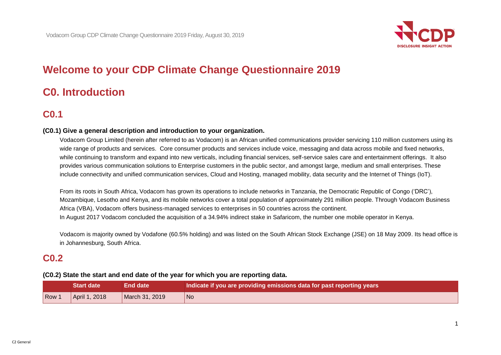

# **Welcome to your CDP Climate Change Questionnaire 2019**

# **C0. Introduction**

## **C0.1**

## **(C0.1) Give a general description and introduction to your organization.**

Vodacom Group Limited (herein after referred to as Vodacom) is an African unified communications provider servicing 110 million customers using its wide range of products and services. Core consumer products and services include voice, messaging and data across mobile and fixed networks, while continuing to transform and expand into new verticals, including financial services, self-service sales care and entertainment offerings. It also provides various communication solutions to Enterprise customers in the public sector, and amongst large, medium and small enterprises. These include connectivity and unified communication services, Cloud and Hosting, managed mobility, data security and the Internet of Things (IoT).

From its roots in South Africa, Vodacom has grown its operations to include networks in Tanzania, the Democratic Republic of Congo ('DRC'), Mozambique, Lesotho and Kenya, and its mobile networks cover a total population of approximately 291 million people. Through Vodacom Business Africa (VBA), Vodacom offers business-managed services to enterprises in 50 countries across the continent. In August 2017 Vodacom concluded the acquisition of a 34.94% indirect stake in Safaricom, the number one mobile operator in Kenya.

Vodacom is majority owned by Vodafone (60.5% holding) and was listed on the South African Stock Exchange (JSE) on 18 May 2009. Its head office is in Johannesburg, South Africa.

## **C0.2**

#### **(C0.2) State the start and end date of the year for which you are reporting data.**

|       | <b>Start date</b> | <b>End date</b> | Indicate if you are providing emissions data for past reporting years |
|-------|-------------------|-----------------|-----------------------------------------------------------------------|
| Row 1 | April 1, 2018     | March 31, 2019  | No                                                                    |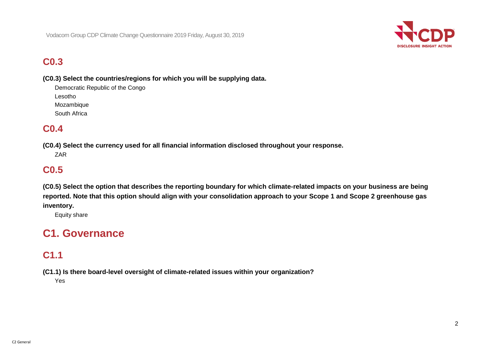

## **C0.3**

**(C0.3) Select the countries/regions for which you will be supplying data.**

Democratic Republic of the Congo Lesotho Mozambique South Africa

## **C0.4**

**(C0.4) Select the currency used for all financial information disclosed throughout your response.** ZAR

## **C0.5**

**(C0.5) Select the option that describes the reporting boundary for which climate-related impacts on your business are being reported. Note that this option should align with your consolidation approach to your Scope 1 and Scope 2 greenhouse gas inventory.**

Equity share

# **C1. Governance**

## **C1.1**

**(C1.1) Is there board-level oversight of climate-related issues within your organization?**

Yes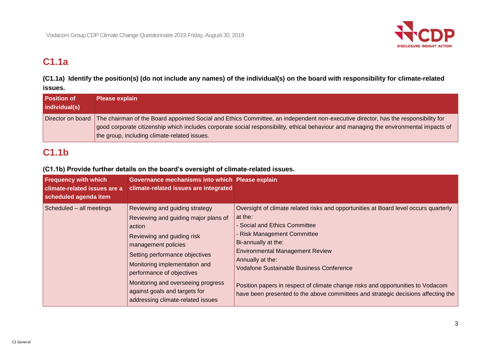

# **C1.1a**

**(C1.1a) Identify the position(s) (do not include any names) of the individual(s) on the board with responsibility for climate-related issues.**

| <b>Position of</b><br>individual(s) | <b>Please explain</b>                                                                                                                                                                                                                                                                                                        |
|-------------------------------------|------------------------------------------------------------------------------------------------------------------------------------------------------------------------------------------------------------------------------------------------------------------------------------------------------------------------------|
| Director on board                   | The chairman of the Board appointed Social and Ethics Committee, an independent non-executive director, has the responsibility for<br>good corporate citizenship which includes corporate social responsibility, ethical behaviour and managing the environmental impacts of<br>the group, including climate-related issues. |

## **C1.1b**

## **(C1.1b) Provide further details on the board's oversight of climate-related issues.**

| <b>Frequency with which</b><br>climate-related issues are a<br>scheduled agenda item | Governance mechanisms into which Please explain<br>climate-related issues are integrated                                                                                                                                                                                                                                                                 |                                                                                                                                                                                                                                                                                                                                                                                                                                                                                 |
|--------------------------------------------------------------------------------------|----------------------------------------------------------------------------------------------------------------------------------------------------------------------------------------------------------------------------------------------------------------------------------------------------------------------------------------------------------|---------------------------------------------------------------------------------------------------------------------------------------------------------------------------------------------------------------------------------------------------------------------------------------------------------------------------------------------------------------------------------------------------------------------------------------------------------------------------------|
| Scheduled - all meetings                                                             | Reviewing and guiding strategy<br>Reviewing and guiding major plans of<br>action<br><b>Reviewing and guiding risk</b><br>management policies<br>Setting performance objectives<br>Monitoring implementation and<br>performance of objectives<br>Monitoring and overseeing progress<br>against goals and targets for<br>addressing climate-related issues | Oversight of climate related risks and opportunities at Board level occurs quarterly<br>at the:<br>- Social and Ethics Committee<br>- Risk Management Committee<br>Bi-annually at the:<br><b>Environmental Management Review</b><br>Annually at the:<br><b>Vodafone Sustainable Business Conference</b><br>Position papers in respect of climate change risks and opportunities to Vodacom<br>have been presented to the above committees and strategic decisions affecting the |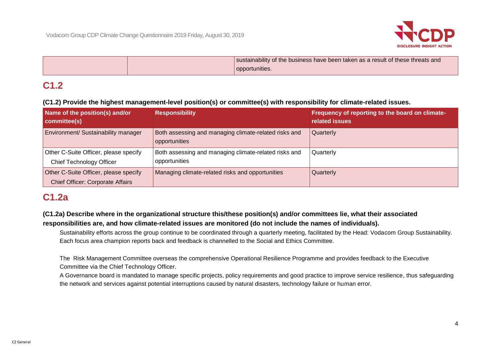

|  | sustainability of the business have been taken as a result of these threats and |
|--|---------------------------------------------------------------------------------|
|  | opportunities.                                                                  |

## **C1.2**

## **(C1.2) Provide the highest management-level position(s) or committee(s) with responsibility for climate-related issues.**

| Name of the position(s) and/or<br>committee(s)                                   | <b>Responsibility</b>                                                  | Frequency of reporting to the board on climate-<br>related issues |
|----------------------------------------------------------------------------------|------------------------------------------------------------------------|-------------------------------------------------------------------|
| Environment/ Sustainability manager                                              | Both assessing and managing climate-related risks and<br>opportunities | Quarterly                                                         |
| Other C-Suite Officer, please specify<br>Chief Technology Officer                | Both assessing and managing climate-related risks and<br>opportunities | Quarterly                                                         |
| Other C-Suite Officer, please specify<br><b>Chief Officer: Corporate Affairs</b> | Managing climate-related risks and opportunities                       | Quarterly                                                         |

## **C1.2a**

## **(C1.2a) Describe where in the organizational structure this/these position(s) and/or committees lie, what their associated responsibilities are, and how climate-related issues are monitored (do not include the names of individuals).**

Sustainability efforts across the group continue to be coordinated through a quarterly meeting, facilitated by the Head: Vodacom Group Sustainability. Each focus area champion reports back and feedback is channelled to the Social and Ethics Committee.

The Risk Management Committee overseas the comprehensive Operational Resilience Programme and provides feedback to the Executive Committee via the Chief Technology Officer.

A Governance board is mandated to manage specific projects, policy requirements and good practice to improve service resilience, thus safeguarding the network and services against potential interruptions caused by natural disasters, technology failure or human error.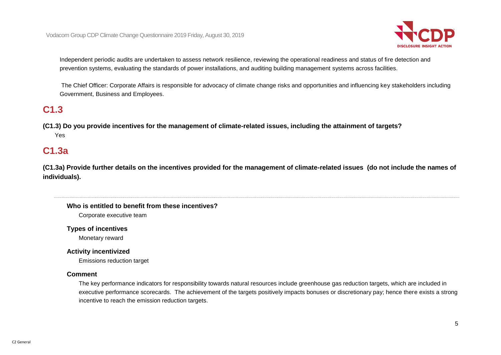

Independent periodic audits are undertaken to assess network resilience, reviewing the operational readiness and status of fire detection and prevention systems, evaluating the standards of power installations, and auditing building management systems across facilities.

The Chief Officer: Corporate Affairs is responsible for advocacy of climate change risks and opportunities and influencing key stakeholders including Government, Business and Employees.

## **C1.3**

**(C1.3) Do you provide incentives for the management of climate-related issues, including the attainment of targets?** Yes

## **C1.3a**

**(C1.3a) Provide further details on the incentives provided for the management of climate-related issues (do not include the names of individuals).**

#### **Who is entitled to benefit from these incentives?**

Corporate executive team

**Types of incentives**

Monetary reward

#### **Activity incentivized**

Emissions reduction target

#### **Comment**

The key performance indicators for responsibility towards natural resources include greenhouse gas reduction targets, which are included in executive performance scorecards. The achievement of the targets positively impacts bonuses or discretionary pay; hence there exists a strong incentive to reach the emission reduction targets.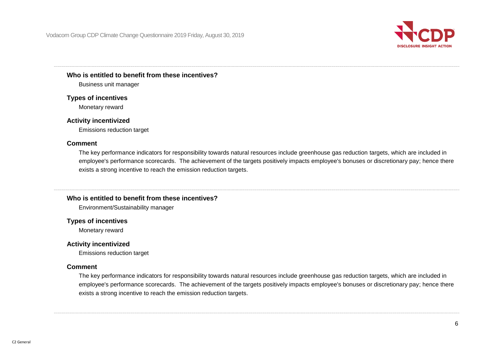

#### **Who is entitled to benefit from these incentives?**

Business unit manager

#### **Types of incentives**

Monetary reward

#### **Activity incentivized**

Emissions reduction target

#### **Comment**

The key performance indicators for responsibility towards natural resources include greenhouse gas reduction targets, which are included in employee's performance scorecards. The achievement of the targets positively impacts employee's bonuses or discretionary pay; hence there exists a strong incentive to reach the emission reduction targets.

#### **Who is entitled to benefit from these incentives?**

Environment/Sustainability manager

#### **Types of incentives**

Monetary reward

#### **Activity incentivized**

Emissions reduction target

#### **Comment**

The key performance indicators for responsibility towards natural resources include greenhouse gas reduction targets, which are included in employee's performance scorecards. The achievement of the targets positively impacts employee's bonuses or discretionary pay; hence there exists a strong incentive to reach the emission reduction targets.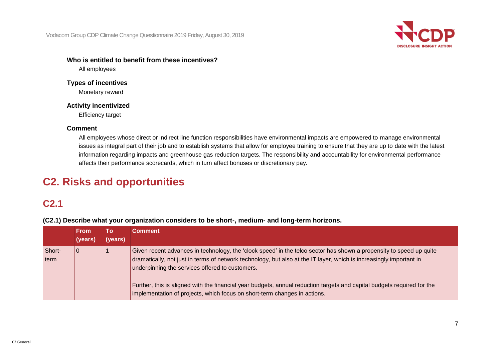Vodacom Group CDP Climate Change Questionnaire 2019 Friday, August 30, 2019



## **Who is entitled to benefit from these incentives?**

All employees

## **Types of incentives** Monetary reward

## **Activity incentivized**

Efficiency target

## **Comment**

All employees whose direct or indirect line function responsibilities have environmental impacts are empowered to manage environmental issues as integral part of their job and to establish systems that allow for employee training to ensure that they are up to date with the latest information regarding impacts and greenhouse gas reduction targets. The responsibility and accountability for environmental performance affects their performance scorecards, which in turn affect bonuses or discretionary pay.

# **C2. Risks and opportunities**

## **C2.1**

**(C2.1) Describe what your organization considers to be short-, medium- and long-term horizons.**

|                | <b>From</b><br>(years) | То<br>(years) | <b>Comment</b>                                                                                                                                                                                                                                                                                                                                                                                                                                                                                        |
|----------------|------------------------|---------------|-------------------------------------------------------------------------------------------------------------------------------------------------------------------------------------------------------------------------------------------------------------------------------------------------------------------------------------------------------------------------------------------------------------------------------------------------------------------------------------------------------|
| Short-<br>term | $\mathbf 0$            |               | Given recent advances in technology, the 'clock speed' in the telco sector has shown a propensity to speed up quite<br>dramatically, not just in terms of network technology, but also at the IT layer, which is increasingly important in<br>underpinning the services offered to customers.<br>Further, this is aligned with the financial year budgets, annual reduction targets and capital budgets required for the<br>implementation of projects, which focus on short-term changes in actions. |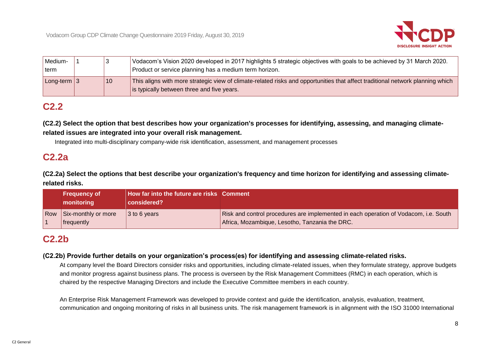

| Medium-         |    | Vodacom's Vision 2020 developed in 2017 highlights 5 strategic objectives with goals to be achieved by 31 March 2020.                                                        |
|-----------------|----|------------------------------------------------------------------------------------------------------------------------------------------------------------------------------|
| term            |    | Product or service planning has a medium term horizon.                                                                                                                       |
| Long-term $ 3 $ | 10 | This aligns with more strategic view of climate-related risks and opportunities that affect traditional network planning which<br>is typically between three and five years. |

## **C2.2**

**(C2.2) Select the option that best describes how your organization's processes for identifying, assessing, and managing climaterelated issues are integrated into your overall risk management.**

Integrated into multi-disciplinary company-wide risk identification, assessment, and management processes

## **C2.2a**

**(C2.2a) Select the options that best describe your organization's frequency and time horizon for identifying and assessing climaterelated risks.**

| <b>Frequency of</b><br>monitoring     | How far into the future are risks Comment<br>considered? |                                                                                                                                        |
|---------------------------------------|----------------------------------------------------------|----------------------------------------------------------------------------------------------------------------------------------------|
| Row Six-monthly or more<br>frequently | 3 to 6 years                                             | Risk and control procedures are implemented in each operation of Vodacom, i.e. South<br>Africa, Mozambique, Lesotho, Tanzania the DRC. |

## **C2.2b**

#### **(C2.2b) Provide further details on your organization's process(es) for identifying and assessing climate-related risks.**

At company level the Board Directors consider risks and opportunities, including climate-related issues, when they formulate strategy, approve budgets and monitor progress against business plans. The process is overseen by the Risk Management Committees (RMC) in each operation, which is chaired by the respective Managing Directors and include the Executive Committee members in each country.

An Enterprise Risk Management Framework was developed to provide context and guide the identification, analysis, evaluation, treatment, communication and ongoing monitoring of risks in all business units. The risk management framework is in alignment with the ISO 31000 International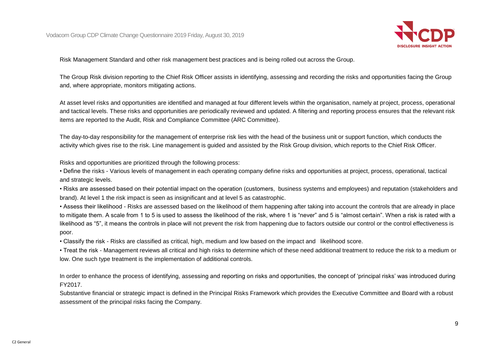

Risk Management Standard and other risk management best practices and is being rolled out across the Group.

The Group Risk division reporting to the Chief Risk Officer assists in identifying, assessing and recording the risks and opportunities facing the Group and, where appropriate, monitors mitigating actions.

At asset level risks and opportunities are identified and managed at four different levels within the organisation, namely at project, process, operational and tactical levels. These risks and opportunities are periodically reviewed and updated. A filtering and reporting process ensures that the relevant risk items are reported to the Audit, Risk and Compliance Committee (ARC Committee).

The day-to-day responsibility for the management of enterprise risk lies with the head of the business unit or support function, which conducts the activity which gives rise to the risk. Line management is guided and assisted by the Risk Group division, which reports to the Chief Risk Officer.

Risks and opportunities are prioritized through the following process:

• Define the risks - Various levels of management in each operating company define risks and opportunities at project, process, operational, tactical and strategic levels.

• Risks are assessed based on their potential impact on the operation (customers, business systems and employees) and reputation (stakeholders and brand). At level 1 the risk impact is seen as insignificant and at level 5 as catastrophic.

• Assess their likelihood - Risks are assessed based on the likelihood of them happening after taking into account the controls that are already in place to mitigate them. A scale from 1 to 5 is used to assess the likelihood of the risk, where 1 is "never" and 5 is "almost certain". When a risk is rated with a likelihood as "5", it means the controls in place will not prevent the risk from happening due to factors outside our control or the control effectiveness is poor.

• Classify the risk - Risks are classified as critical, high, medium and low based on the impact and likelihood score.

• Treat the risk - Management reviews all critical and high risks to determine which of these need additional treatment to reduce the risk to a medium or low. One such type treatment is the implementation of additional controls.

In order to enhance the process of identifying, assessing and reporting on risks and opportunities, the concept of 'principal risks' was introduced during FY2017.

Substantive financial or strategic impact is defined in the Principal Risks Framework which provides the Executive Committee and Board with a robust assessment of the principal risks facing the Company.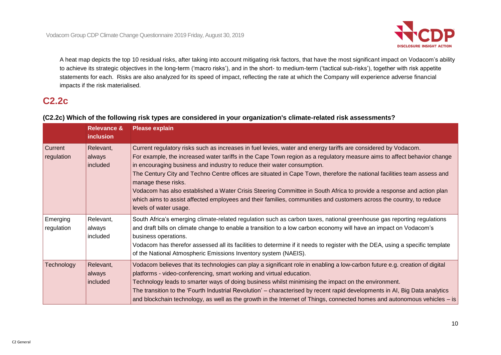

A heat map depicts the top 10 residual risks, after taking into account mitigating risk factors, that have the most significant impact on Vodacom's ability to achieve its strategic objectives in the long-term ('macro risks'), and in the short- to medium-term ('tactical sub-risks'), together with risk appetite statements for each. Risks are also analyzed for its speed of impact, reflecting the rate at which the Company will experience adverse financial impacts if the risk materialised.

## **C2.2c**

## **(C2.2c) Which of the following risk types are considered in your organization's climate-related risk assessments?**

|                        | <b>Relevance &amp;</b><br><b>inclusion</b> | <b>Please explain</b>                                                                                                                                                                                                                                                                                                                                                                                                                                                                                                                                                                                                                                                                                                                           |
|------------------------|--------------------------------------------|-------------------------------------------------------------------------------------------------------------------------------------------------------------------------------------------------------------------------------------------------------------------------------------------------------------------------------------------------------------------------------------------------------------------------------------------------------------------------------------------------------------------------------------------------------------------------------------------------------------------------------------------------------------------------------------------------------------------------------------------------|
| Current<br>regulation  | Relevant,<br>always<br>included            | Current regulatory risks such as increases in fuel levies, water and energy tariffs are considered by Vodacom.<br>For example, the increased water tariffs in the Cape Town region as a regulatory measure aims to affect behavior change<br>in encouraging business and industry to reduce their water consumption.<br>The Century City and Techno Centre offices are situated in Cape Town, therefore the national facilities team assess and<br>manage these risks.<br>Vodacom has also established a Water Crisis Steering Committee in South Africa to provide a response and action plan<br>which aims to assist affected employees and their families, communities and customers across the country, to reduce<br>levels of water usage. |
| Emerging<br>regulation | Relevant,<br>always<br>included            | South Africa's emerging climate-related regulation such as carbon taxes, national greenhouse gas reporting regulations<br>and draft bills on climate change to enable a transition to a low carbon economy will have an impact on Vodacom's<br>business operations.<br>Vodacom has therefor assessed all its facilities to determine if it needs to register with the DEA, using a specific template<br>of the National Atmospheric Emissions Inventory system (NAEIS).                                                                                                                                                                                                                                                                         |
| Technology             | Relevant,<br>always<br>included            | Vodacom believes that its technologies can play a significant role in enabling a low-carbon future e.g. creation of digital<br>platforms - video-conferencing, smart working and virtual education.<br>Technology leads to smarter ways of doing business whilst minimising the impact on the environment.<br>The transition to the 'Fourth Industrial Revolution' – characterised by recent rapid developments in AI, Big Data analytics<br>and blockchain technology, as well as the growth in the Internet of Things, connected homes and autonomous vehicles – is                                                                                                                                                                           |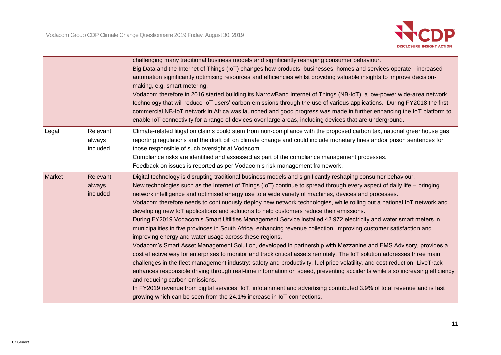

|        |                                 | challenging many traditional business models and significantly reshaping consumer behaviour.<br>Big Data and the Internet of Things (IoT) changes how products, businesses, homes and services operate - increased<br>automation significantly optimising resources and efficiencies whilst providing valuable insights to improve decision-<br>making, e.g. smart metering.<br>Vodacom therefore in 2016 started building its NarrowBand Internet of Things (NB-IoT), a low-power wide-area network<br>technology that will reduce IoT users' carbon emissions through the use of various applications. During FY2018 the first<br>commercial NB-IoT network in Africa was launched and good progress was made in further enhancing the IoT platform to<br>enable IoT connectivity for a range of devices over large areas, including devices that are underground.                                                                                                                                                                                                                                                                                                                                                                                                                                                                                                                                                                                                                                                                                                                                                     |
|--------|---------------------------------|--------------------------------------------------------------------------------------------------------------------------------------------------------------------------------------------------------------------------------------------------------------------------------------------------------------------------------------------------------------------------------------------------------------------------------------------------------------------------------------------------------------------------------------------------------------------------------------------------------------------------------------------------------------------------------------------------------------------------------------------------------------------------------------------------------------------------------------------------------------------------------------------------------------------------------------------------------------------------------------------------------------------------------------------------------------------------------------------------------------------------------------------------------------------------------------------------------------------------------------------------------------------------------------------------------------------------------------------------------------------------------------------------------------------------------------------------------------------------------------------------------------------------------------------------------------------------------------------------------------------------|
| Legal  | Relevant,<br>always<br>included | Climate-related litigation claims could stem from non-compliance with the proposed carbon tax, national greenhouse gas<br>reporting regulations and the draft bill on climate change and could include monetary fines and/or prison sentences for<br>those responsible of such oversight at Vodacom.<br>Compliance risks are identified and assessed as part of the compliance management processes.<br>Feedback on issues is reported as per Vodacom's risk management framework.                                                                                                                                                                                                                                                                                                                                                                                                                                                                                                                                                                                                                                                                                                                                                                                                                                                                                                                                                                                                                                                                                                                                       |
| Market | Relevant,<br>always<br>included | Digital technology is disrupting traditional business models and significantly reshaping consumer behaviour.<br>New technologies such as the Internet of Things (IoT) continue to spread through every aspect of daily life – bringing<br>network intelligence and optimised energy use to a wide variety of machines, devices and processes.<br>Vodacom therefore needs to continuously deploy new network technologies, while rolling out a national IoT network and<br>developing new IoT applications and solutions to help customers reduce their emissions.<br>During FY2019 Vodacom's Smart Utilities Management Service installed 42 972 electricity and water smart meters in<br>municipalities in five provinces in South Africa, enhancing revenue collection, improving customer satisfaction and<br>improving energy and water usage across these regions.<br>Vodacom's Smart Asset Management Solution, developed in partnership with Mezzanine and EMS Advisory, provides a<br>cost effective way for enterprises to monitor and track critical assets remotely. The IoT solution addresses three main<br>challenges in the fleet management industry: safety and productivity, fuel price volatility, and cost reduction. LiveTrack<br>enhances responsible driving through real-time information on speed, preventing accidents while also increasing efficiency<br>and reducing carbon emissions.<br>In FY2019 revenue from digital services, IoT, infotainment and advertising contributed 3.9% of total revenue and is fast<br>growing which can be seen from the 24.1% increase in IoT connections. |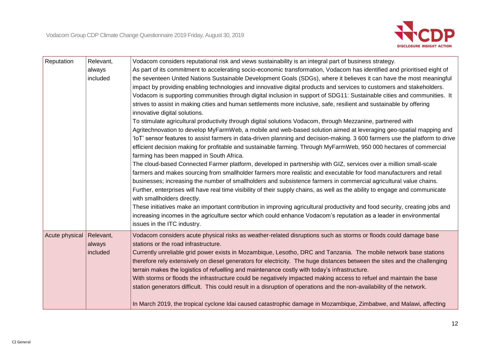

| Reputation     | Relevant, | Vodacom considers reputational risk and views sustainability is an integral part of business strategy.                       |
|----------------|-----------|------------------------------------------------------------------------------------------------------------------------------|
|                | always    | As part of its commitment to accelerating socio-economic transformation, Vodacom has identified and prioritised eight of     |
|                | included  | the seventeen United Nations Sustainable Development Goals (SDGs), where it believes it can have the most meaningful         |
|                |           | impact by providing enabling technologies and innovative digital products and services to customers and stakeholders.        |
|                |           | Vodacom is supporting communities through digital inclusion in support of SDG11: Sustainable cities and communities. It      |
|                |           | strives to assist in making cities and human settlements more inclusive, safe, resilient and sustainable by offering         |
|                |           | innovative digital solutions.                                                                                                |
|                |           | To stimulate agricultural productivity through digital solutions Vodacom, through Mezzanine, partnered with                  |
|                |           | Agritechnovation to develop MyFarmWeb, a mobile and web-based solution aimed at leveraging geo-spatial mapping and           |
|                |           | 'loT' sensor features to assist farmers in data-driven planning and decision-making. 3 600 farmers use the platform to drive |
|                |           | efficient decision making for profitable and sustainable farming. Through MyFarmWeb, 950 000 hectares of commercial          |
|                |           | farming has been mapped in South Africa.                                                                                     |
|                |           | The cloud-based Connected Farmer platform, developed in partnership with GIZ, services over a million small-scale            |
|                |           | farmers and makes sourcing from smallholder farmers more realistic and executable for food manufacturers and retail          |
|                |           | businesses; increasing the number of smallholders and subsistence farmers in commercial agricultural value chains.           |
|                |           | Further, enterprises will have real time visibility of their supply chains, as well as the ability to engage and communicate |
|                |           | with smallholders directly.                                                                                                  |
|                |           | These initiatives make an important contribution in improving agricultural productivity and food security, creating jobs and |
|                |           | increasing incomes in the agriculture sector which could enhance Vodacom's reputation as a leader in environmental           |
|                |           | issues in the ITC industry.                                                                                                  |
| Acute physical | Relevant, | Vodacom considers acute physical risks as weather-related disruptions such as storms or floods could damage base             |
|                | always    | stations or the road infrastructure.                                                                                         |
|                | included  | Currently unreliable grid power exists in Mozambique, Lesotho, DRC and Tanzania. The mobile network base stations            |
|                |           | therefore rely extensively on diesel generators for electricity. The huge distances between the sites and the challenging    |
|                |           | terrain makes the logistics of refuelling and maintenance costly with today's infrastructure.                                |
|                |           | With storms or floods the infrastructure could be negatively impacted making access to refuel and maintain the base          |
|                |           | station generators difficult. This could result in a disruption of operations and the non-availability of the network.       |
|                |           |                                                                                                                              |
|                |           | In March 2019, the tropical cyclone Idai caused catastrophic damage in Mozambique, Zimbabwe, and Malawi, affecting           |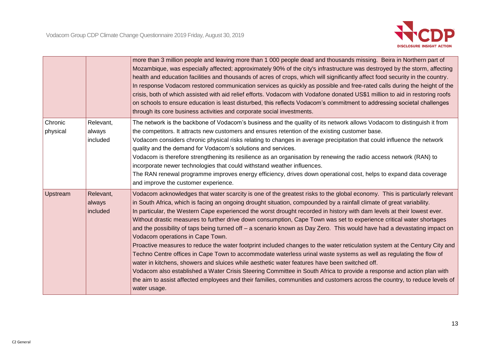

|                     |                                 | more than 3 million people and leaving more than 1 000 people dead and thousands missing. Beira in Northern part of<br>Mozambique, was especially affected; approximately 90% of the city's infrastructure was destroyed by the storm, affecting<br>health and education facilities and thousands of acres of crops, which will significantly affect food security in the country.<br>In response Vodacom restored communication services as quickly as possible and free-rated calls during the height of the<br>crisis, both of which assisted with aid relief efforts. Vodacom with Vodafone donated US\$1 million to aid in restoring roofs<br>on schools to ensure education is least disturbed, this reflects Vodacom's commitment to addressing societal challenges<br>through its core business activities and corporate social investments.                                                                                                                                                                                                                                                                                                                                                                                                                                               |
|---------------------|---------------------------------|----------------------------------------------------------------------------------------------------------------------------------------------------------------------------------------------------------------------------------------------------------------------------------------------------------------------------------------------------------------------------------------------------------------------------------------------------------------------------------------------------------------------------------------------------------------------------------------------------------------------------------------------------------------------------------------------------------------------------------------------------------------------------------------------------------------------------------------------------------------------------------------------------------------------------------------------------------------------------------------------------------------------------------------------------------------------------------------------------------------------------------------------------------------------------------------------------------------------------------------------------------------------------------------------------|
| Chronic<br>physical | Relevant,<br>always<br>included | The network is the backbone of Vodacom's business and the quality of its network allows Vodacom to distinguish it from<br>the competitors. It attracts new customers and ensures retention of the existing customer base.<br>Vodacom considers chronic physical risks relating to changes in average precipitation that could influence the network<br>quality and the demand for Vodacom's solutions and services.<br>Vodacom is therefore strengthening its resilience as an organisation by renewing the radio access network (RAN) to<br>incorporate newer technologies that could withstand weather influences.<br>The RAN renewal programme improves energy efficiency, drives down operational cost, helps to expand data coverage<br>and improve the customer experience.                                                                                                                                                                                                                                                                                                                                                                                                                                                                                                                  |
| Upstream            | Relevant,<br>always<br>included | Vodacom acknowledges that water scarcity is one of the greatest risks to the global economy. This is particularly relevant<br>in South Africa, which is facing an ongoing drought situation, compounded by a rainfall climate of great variability.<br>In particular, the Western Cape experienced the worst drought recorded in history with dam levels at their lowest ever.<br>Without drastic measures to further drive down consumption, Cape Town was set to experience critical water shortages<br>and the possibility of taps being turned off – a scenario known as Day Zero. This would have had a devastating impact on<br>Vodacom operations in Cape Town.<br>Proactive measures to reduce the water footprint included changes to the water reticulation system at the Century City and<br>Techno Centre offices in Cape Town to accommodate waterless urinal waste systems as well as regulating the flow of<br>water in kitchens, showers and sluices while aesthetic water features have been switched off.<br>Vodacom also established a Water Crisis Steering Committee in South Africa to provide a response and action plan with<br>the aim to assist affected employees and their families, communities and customers across the country, to reduce levels of<br>water usage. |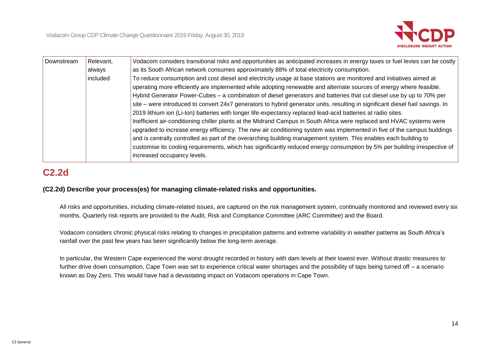

| Downstream | Relevant, | Vodacom considers transitional risks and opportunities as anticipated increases in energy taxes or fuel levies can be costly  |
|------------|-----------|-------------------------------------------------------------------------------------------------------------------------------|
|            | always    | as its South African network consumes approximately 88% of total electricity consumption.                                     |
|            | included  | To reduce consumption and cost diesel and electricity usage at base stations are monitored and initiatives aimed at           |
|            |           | operating more efficiently are implemented while adopting renewable and alternate sources of energy where feasible.           |
|            |           | Hybrid Generator Power-Cubes – a combination of diesel generators and batteries that cut diesel use by up to 70% per          |
|            |           | site – were introduced to convert 24x7 generators to hybrid generator units, resulting in significant diesel fuel savings. In |
|            |           | 2019 lithium ion (Li-Ion) batteries with longer life-expectancy replaced lead-acid batteries at radio sites.                  |
|            |           | Inefficient air-conditioning chiller plants at the Midrand Campus in South Africa were replaced and HVAC systems were         |
|            |           | upgraded to increase energy efficiency. The new air conditioning system was implemented in five of the campus buildings       |
|            |           | and is centrally controlled as part of the overarching building management system. This enables each building to              |
|            |           | customise its cooling requirements, which has significantly reduced energy consumption by 5% per building irrespective of     |
|            |           | increased occupancy levels.                                                                                                   |

# **C2.2d**

## **(C2.2d) Describe your process(es) for managing climate-related risks and opportunities.**

All risks and opportunities, including climate-related issues, are captured on the risk management system, continually monitored and reviewed every six months. Quarterly risk reports are provided to the Audit, Risk and Compliance Committee (ARC Committee) and the Board.

Vodacom considers chronic physical risks relating to changes in precipitation patterns and extreme variability in weather patterns as South Africa's rainfall over the past few years has been significantly below the long-term average.

In particular, the Western Cape experienced the worst drought recorded in history with dam levels at their lowest ever. Without drastic measures to further drive down consumption, Cape Town was set to experience critical water shortages and the possibility of taps being turned off – a scenario known as Day Zero. This would have had a devastating impact on Vodacom operations in Cape Town.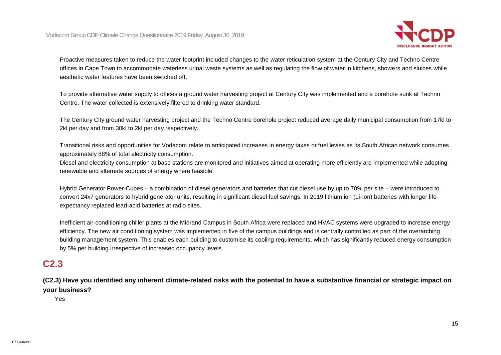

Proactive measures taken to reduce the water footprint included changes to the water reticulation system at the Century City and Techno Centre offices in Cape Town to accommodate waterless urinal waste systems as well as regulating the flow of water in kitchens, showers and sluices while aesthetic water features have been switched off.

To provide alternative water supply to offices a ground water harvesting project at Century City was implemented and a borehole sunk at Techno Centre. The water collected is extensively filtered to drinking water standard.

The Century City ground water harvesting project and the Techno Centre borehole project reduced average daily municipal consumption from 17kl to 2kl per day and from 30kl to 2kl per day respectively.

Transitional risks and opportunities for Vodacom relate to anticipated increases in energy taxes or fuel levies as its South African network consumes approximately 88% of total electricity consumption.

Diesel and electricity consumption at base stations are monitored and initiatives aimed at operating more efficiently are implemented while adopting renewable and alternate sources of energy where feasible.

Hybrid Generator Power-Cubes – a combination of diesel generators and batteries that cut diesel use by up to 70% per site – were introduced to convert 24x7 generators to hybrid generator units, resulting in significant diesel fuel savings. In 2019 lithium ion (Li-Ion) batteries with longer lifeexpectancy replaced lead-acid batteries at radio sites.

Inefficient air-conditioning chiller plants at the Midrand Campus in South Africa were replaced and HVAC systems were upgraded to increase energy efficiency. The new air conditioning system was implemented in five of the campus buildings and is centrally controlled as part of the overarching building management system. This enables each building to customise its cooling requirements, which has significantly reduced energy consumption by 5% per building irrespective of increased occupancy levels.

## **C2.3**

**(C2.3) Have you identified any inherent climate-related risks with the potential to have a substantive financial or strategic impact on your business?**

Yes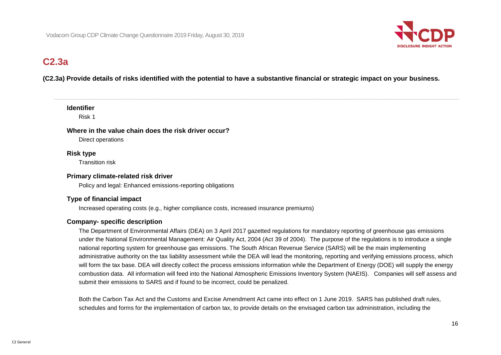

## **C2.3a**

## **(C2.3a) Provide details of risks identified with the potential to have a substantive financial or strategic impact on your business.**

#### **Identifier**

Risk 1

#### **Where in the value chain does the risk driver occur?**

Direct operations

## **Risk type**

Transition risk

#### **Primary climate-related risk driver**

Policy and legal: Enhanced emissions-reporting obligations

## **Type of financial impact**

Increased operating costs (e.g., higher compliance costs, increased insurance premiums)

## **Company- specific description**

The Department of Environmental Affairs (DEA) on 3 April 2017 gazetted regulations for mandatory reporting of greenhouse gas emissions under the National Environmental Management: Air Quality Act, 2004 (Act 39 of 2004). The purpose of the regulations is to introduce a single national reporting system for greenhouse gas emissions. The South African Revenue Service (SARS) will be the main implementing administrative authority on the tax liability assessment while the DEA will lead the monitoring, reporting and verifying emissions process, which will form the tax base. DEA will directly collect the process emissions information while the Department of Energy (DOE) will supply the energy combustion data. All information will feed into the National Atmospheric Emissions Inventory System (NAEIS). Companies will self assess and submit their emissions to SARS and if found to be incorrect, could be penalized.

Both the Carbon Tax Act and the Customs and Excise Amendment Act came into effect on 1 June 2019. SARS has published draft rules, schedules and forms for the implementation of carbon tax, to provide details on the envisaged carbon tax administration, including the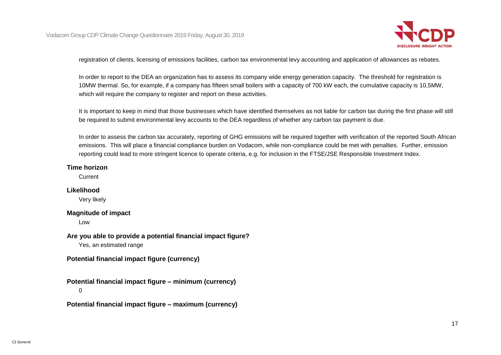

registration of clients, licensing of emissions facilities, carbon tax environmental levy accounting and application of allowances as rebates.

In order to report to the DEA an organization has to assess its company wide energy generation capacity. The threshold for registration is 10MW thermal. So, for example, if a company has fifteen small boilers with a capacity of 700 kW each, the cumulative capacity is 10,5MW, which will require the company to register and report on these activities.

It is important to keep in mind that those businesses which have identified themselves as not liable for carbon tax during the first phase will still be required to submit environmental levy accounts to the DEA regardless of whether any carbon tax payment is due.

In order to assess the carbon tax accurately, reporting of GHG emissions will be required together with verification of the reported South African emissions. This will place a financial compliance burden on Vodacom, while non-compliance could be met with penalties. Further, emission reporting could lead to more stringent licence to operate criteria, e.g. for inclusion in the FTSE/JSE Responsible Investment Index.

#### **Time horizon**

**Current** 

#### **Likelihood**

Very likely

#### **Magnitude of impact**

Low

**Are you able to provide a potential financial impact figure?**

Yes, an estimated range

**Potential financial impact figure (currency)**

**Potential financial impact figure – minimum (currency)**

0

**Potential financial impact figure – maximum (currency)**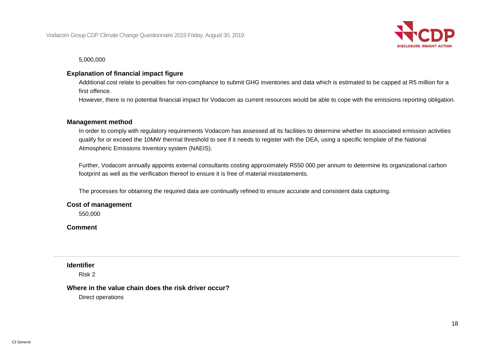

5,000,000

## **Explanation of financial impact figure**

Additional cost relate to penalties for non-compliance to submit GHG inventories and data which is estimated to be capped at R5 million for a first offence.

However, there is no potential financial impact for Vodacom as current resources would be able to cope with the emissions reporting obligation.

#### **Management method**

In order to comply with regulatory requirements Vodacom has assessed all its facilities to determine whether its associated emission activities qualify for or exceed the 10MW thermal threshold to see if it needs to register with the DEA, using a specific template of the National Atmospheric Emissions Inventory system (NAEIS).

Further, Vodacom annually appoints external consultants costing approximately R550 000 per annum to determine its organizational carbon footprint as well as the verification thereof to ensure it is free of material misstatements.

The processes for obtaining the required data are continually refined to ensure accurate and consistent data capturing.

#### **Cost of management**

550,000

**Comment**

#### **Identifier**

Risk 2

#### **Where in the value chain does the risk driver occur?**

Direct operations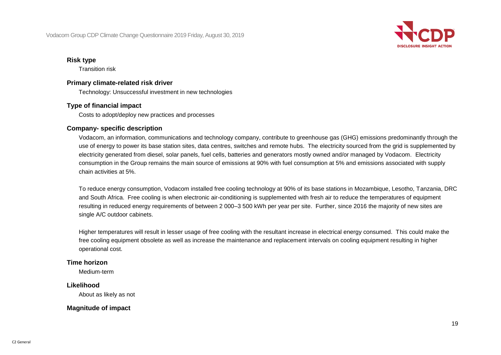

#### **Risk type**

Transition risk

#### **Primary climate-related risk driver**

Technology: Unsuccessful investment in new technologies

## **Type of financial impact**

Costs to adopt/deploy new practices and processes

#### **Company- specific description**

Vodacom, an information, communications and technology company, contribute to greenhouse gas (GHG) emissions predominantly through the use of energy to power its base station sites, data centres, switches and remote hubs. The electricity sourced from the grid is supplemented by electricity generated from diesel, solar panels, fuel cells, batteries and generators mostly owned and/or managed by Vodacom. Electricity consumption in the Group remains the main source of emissions at 90% with fuel consumption at 5% and emissions associated with supply chain activities at 5%.

To reduce energy consumption, Vodacom installed free cooling technology at 90% of its base stations in Mozambique, Lesotho, Tanzania, DRC and South Africa. Free cooling is when electronic air-conditioning is supplemented with fresh air to reduce the temperatures of equipment resulting in reduced energy requirements of between 2 000–3 500 kWh per year per site. Further, since 2016 the majority of new sites are single A/C outdoor cabinets.

Higher temperatures will result in lesser usage of free cooling with the resultant increase in electrical energy consumed. This could make the free cooling equipment obsolete as well as increase the maintenance and replacement intervals on cooling equipment resulting in higher operational cost.

#### **Time horizon**

Medium-term

## **Likelihood**

About as likely as not

## **Magnitude of impact**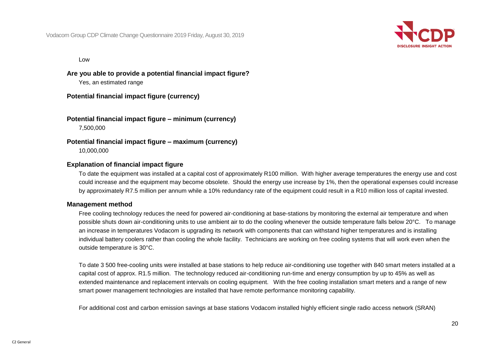

Low

**Are you able to provide a potential financial impact figure?**

Yes, an estimated range

**Potential financial impact figure (currency)**

**Potential financial impact figure – minimum (currency)** 7,500,000

**Potential financial impact figure – maximum (currency)** 10,000,000

## **Explanation of financial impact figure**

To date the equipment was installed at a capital cost of approximately R100 million. With higher average temperatures the energy use and cost could increase and the equipment may become obsolete. Should the energy use increase by 1%, then the operational expenses could increase by approximately R7.5 million per annum while a 10% redundancy rate of the equipment could result in a R10 million loss of capital invested.

#### **Management method**

Free cooling technology reduces the need for powered air-conditioning at base-stations by monitoring the external air temperature and when possible shuts down air-conditioning units to use ambient air to do the cooling whenever the outside temperature falls below 20°C. To manage an increase in temperatures Vodacom is upgrading its network with components that can withstand higher temperatures and is installing individual battery coolers rather than cooling the whole facility. Technicians are working on free cooling systems that will work even when the outside temperature is 30°C.

To date 3 500 free-cooling units were installed at base stations to help reduce air-conditioning use together with 840 smart meters installed at a capital cost of approx. R1.5 million. The technology reduced air-conditioning run-time and energy consumption by up to 45% as well as extended maintenance and replacement intervals on cooling equipment. With the free cooling installation smart meters and a range of new smart power management technologies are installed that have remote performance monitoring capability.

For additional cost and carbon emission savings at base stations Vodacom installed highly efficient single radio access network (SRAN)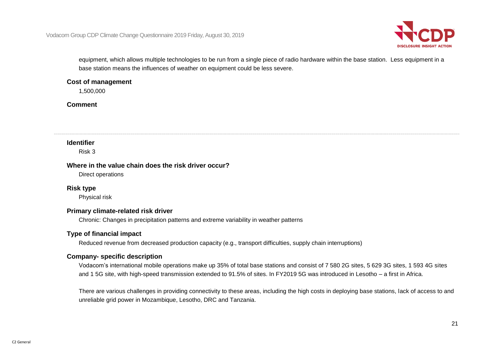

equipment, which allows multiple technologies to be run from a single piece of radio hardware within the base station. Less equipment in a base station means the influences of weather on equipment could be less severe.

#### **Cost of management**

1,500,000

**Comment**

#### **Identifier**

Risk 3

#### **Where in the value chain does the risk driver occur?**

Direct operations

## **Risk type**

Physical risk

## **Primary climate-related risk driver**

Chronic: Changes in precipitation patterns and extreme variability in weather patterns

## **Type of financial impact**

Reduced revenue from decreased production capacity (e.g., transport difficulties, supply chain interruptions)

## **Company- specific description**

Vodacom's international mobile operations make up 35% of total base stations and consist of 7 580 2G sites, 5 629 3G sites, 1 593 4G sites and 1 5G site, with high-speed transmission extended to 91.5% of sites. In FY2019 5G was introduced in Lesotho – a first in Africa.

There are various challenges in providing connectivity to these areas, including the high costs in deploying base stations, lack of access to and unreliable grid power in Mozambique, Lesotho, DRC and Tanzania.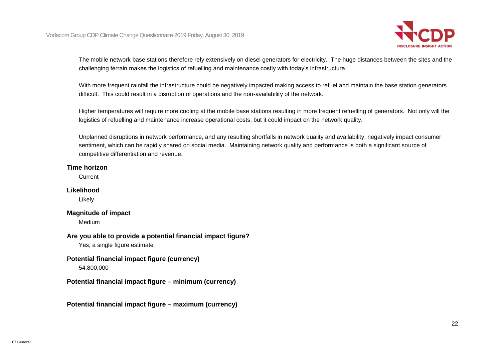

The mobile network base stations therefore rely extensively on diesel generators for electricity. The huge distances between the sites and the challenging terrain makes the logistics of refuelling and maintenance costly with today's infrastructure.

With more frequent rainfall the infrastructure could be negatively impacted making access to refuel and maintain the base station generators difficult. This could result in a disruption of operations and the non-availability of the network.

Higher temperatures will require more cooling at the mobile base stations resulting in more frequent refuelling of generators. Not only will the logistics of refuelling and maintenance increase operational costs, but it could impact on the network quality.

Unplanned disruptions in network performance, and any resulting shortfalls in network quality and availability, negatively impact consumer sentiment, which can be rapidly shared on social media. Maintaining network quality and performance is both a significant source of competitive differentiation and revenue.

#### **Time horizon**

**Current** 

## **Likelihood**

Likely

## **Magnitude of impact**

Medium

**Are you able to provide a potential financial impact figure?**

Yes, a single figure estimate

## **Potential financial impact figure (currency)**

54,800,000

**Potential financial impact figure – minimum (currency)**

**Potential financial impact figure – maximum (currency)**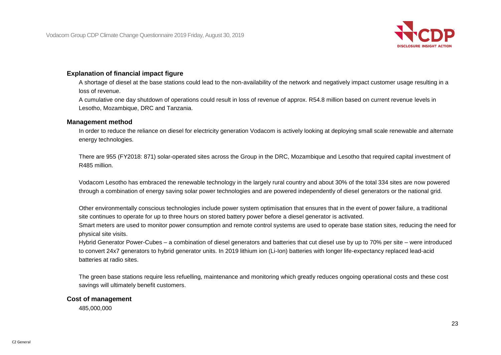

## **Explanation of financial impact figure**

A shortage of diesel at the base stations could lead to the non-availability of the network and negatively impact customer usage resulting in a loss of revenue.

A cumulative one day shutdown of operations could result in loss of revenue of approx. R54.8 million based on current revenue levels in Lesotho, Mozambique, DRC and Tanzania.

#### **Management method**

In order to reduce the reliance on diesel for electricity generation Vodacom is actively looking at deploying small scale renewable and alternate energy technologies.

There are 955 (FY2018: 871) solar-operated sites across the Group in the DRC, Mozambique and Lesotho that required capital investment of R485 million.

Vodacom Lesotho has embraced the renewable technology in the largely rural country and about 30% of the total 334 sites are now powered through a combination of energy saving solar power technologies and are powered independently of diesel generators or the national grid.

Other environmentally conscious technologies include power system optimisation that ensures that in the event of power failure, a traditional site continues to operate for up to three hours on stored battery power before a diesel generator is activated.

Smart meters are used to monitor power consumption and remote control systems are used to operate base station sites, reducing the need for physical site visits.

Hybrid Generator Power-Cubes – a combination of diesel generators and batteries that cut diesel use by up to 70% per site – were introduced to convert 24x7 generators to hybrid generator units. In 2019 lithium ion (Li-Ion) batteries with longer life-expectancy replaced lead-acid batteries at radio sites.

The green base stations require less refuelling, maintenance and monitoring which greatly reduces ongoing operational costs and these cost savings will ultimately benefit customers.

#### **Cost of management**

485,000,000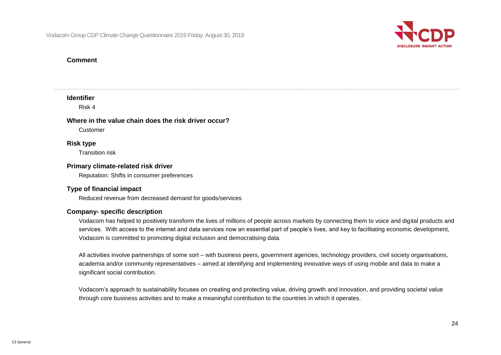

#### **Comment**

#### **Identifier**

Risk 4

#### **Where in the value chain does the risk driver occur?**

Customer

## **Risk type**

Transition risk

## **Primary climate-related risk driver**

Reputation: Shifts in consumer preferences

## **Type of financial impact**

Reduced revenue from decreased demand for goods/services

## **Company- specific description**

Vodacom has helped to positively transform the lives of millions of people across markets by connecting them to voice and digital products and services. With access to the internet and data services now an essential part of people's lives, and key to facilitating economic development, Vodacom is committed to promoting digital inclusion and democratising data.

All activities involve partnerships of some sort – with business peers, government agencies, technology providers, civil society organisations, academia and/or community representatives – aimed at identifying and implementing innovative ways of using mobile and data to make a significant social contribution.

Vodacom's approach to sustainability focuses on creating and protecting value, driving growth and innovation, and providing societal value through core business activities and to make a meaningful contribution to the countries in which it operates.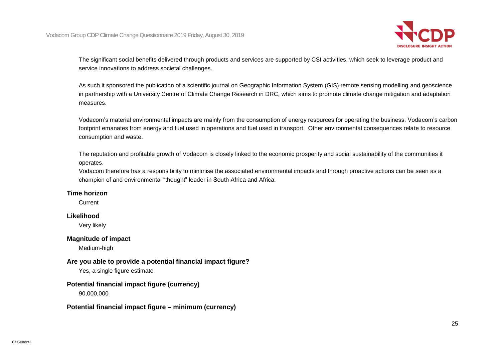

The significant social benefits delivered through products and services are supported by CSI activities, which seek to leverage product and service innovations to address societal challenges.

As such it sponsored the publication of a scientific journal on Geographic Information System (GIS) remote sensing modelling and geoscience in partnership with a University Centre of Climate Change Research in DRC, which aims to promote climate change mitigation and adaptation measures.

Vodacom's material environmental impacts are mainly from the consumption of energy resources for operating the business. Vodacom's carbon footprint emanates from energy and fuel used in operations and fuel used in transport. Other environmental consequences relate to resource consumption and waste.

The reputation and profitable growth of Vodacom is closely linked to the economic prosperity and social sustainability of the communities it operates.

Vodacom therefore has a responsibility to minimise the associated environmental impacts and through proactive actions can be seen as a champion of and environmental "thought" leader in South Africa and Africa.

#### **Time horizon**

Current

## **Likelihood**

Very likely

#### **Magnitude of impact**

Medium-high

## **Are you able to provide a potential financial impact figure?**

Yes, a single figure estimate

## **Potential financial impact figure (currency)**

90,000,000

## **Potential financial impact figure – minimum (currency)**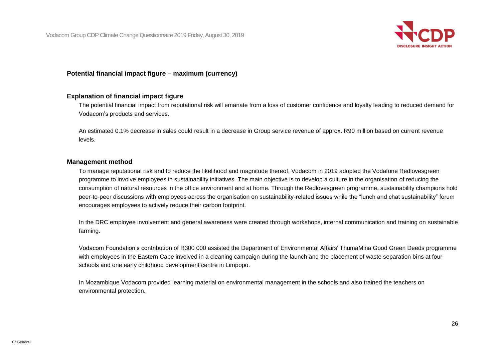

#### **Potential financial impact figure – maximum (currency)**

#### **Explanation of financial impact figure**

The potential financial impact from reputational risk will emanate from a loss of customer confidence and loyalty leading to reduced demand for Vodacom's products and services.

An estimated 0.1% decrease in sales could result in a decrease in Group service revenue of approx. R90 million based on current revenue levels.

#### **Management method**

To manage reputational risk and to reduce the likelihood and magnitude thereof, Vodacom in 2019 adopted the Vodafone Redlovesgreen programme to involve employees in sustainability initiatives. The main objective is to develop a culture in the organisation of reducing the consumption of natural resources in the office environment and at home. Through the Redlovesgreen programme, sustainability champions hold peer-to-peer discussions with employees across the organisation on sustainability-related issues while the "lunch and chat sustainability" forum encourages employees to actively reduce their carbon footprint.

In the DRC employee involvement and general awareness were created through workshops, internal communication and training on sustainable farming.

Vodacom Foundation's contribution of R300 000 assisted the Department of Environmental Affairs' ThumaMina Good Green Deeds programme with employees in the Eastern Cape involved in a cleaning campaign during the launch and the placement of waste separation bins at four schools and one early childhood development centre in Limpopo.

In Mozambique Vodacom provided learning material on environmental management in the schools and also trained the teachers on environmental protection.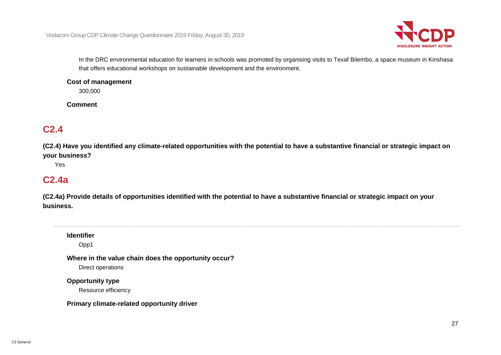

In the DRC environmental education for learners in schools was promoted by organising visits to Texaf Bilembo, a space museum in Kinshasa that offers educational workshops on sustainable development and the environment.

#### **Cost of management**

300,000

**Comment**

## **C2.4**

**(C2.4) Have you identified any climate-related opportunities with the potential to have a substantive financial or strategic impact on your business?**

Yes

## **C2.4a**

**(C2.4a) Provide details of opportunities identified with the potential to have a substantive financial or strategic impact on your business.**

**Identifier**

Opp1

**Where in the value chain does the opportunity occur?** Direct operations

**Opportunity type**

Resource efficiency

**Primary climate-related opportunity driver**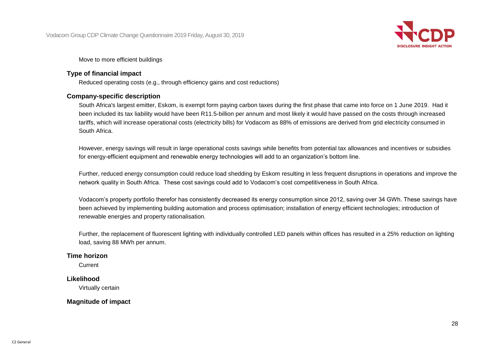

Move to more efficient buildings

#### **Type of financial impact**

Reduced operating costs (e.g., through efficiency gains and cost reductions)

#### **Company-specific description**

South Africa's largest emitter, Eskom, is exempt form paying carbon taxes during the first phase that came into force on 1 June 2019. Had it been included its tax liability would have been R11.5-billion per annum and most likely it would have passed on the costs through increased tariffs, which will increase operational costs (electricity bills) for Vodacom as 88% of emissions are derived from grid electricity consumed in South Africa.

However, energy savings will result in large operational costs savings while benefits from potential tax allowances and incentives or subsidies for energy-efficient equipment and renewable energy technologies will add to an organization's bottom line.

Further, reduced energy consumption could reduce load shedding by Eskom resulting in less frequent disruptions in operations and improve the network quality in South Africa. These cost savings could add to Vodacom's cost competitiveness in South Africa.

Vodacom's property portfolio therefor has consistently decreased its energy consumption since 2012, saving over 34 GWh. These savings have been achieved by implementing building automation and process optimisation; installation of energy efficient technologies; introduction of renewable energies and property rationalisation.

Further, the replacement of fluorescent lighting with individually controlled LED panels within offices has resulted in a 25% reduction on lighting load, saving 88 MWh per annum.

#### **Time horizon**

**Current** 

## **Likelihood**

Virtually certain

## **Magnitude of impact**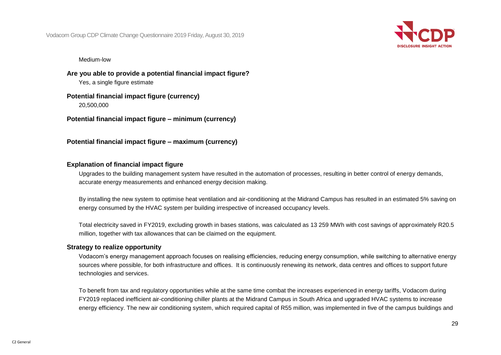Vodacom Group CDP Climate Change Questionnaire 2019 Friday, August 30, 2019



#### Medium-low

**Are you able to provide a potential financial impact figure?** Yes, a single figure estimate

**Potential financial impact figure (currency)**

20,500,000

**Potential financial impact figure – minimum (currency)**

**Potential financial impact figure – maximum (currency)**

## **Explanation of financial impact figure**

Upgrades to the building management system have resulted in the automation of processes, resulting in better control of energy demands, accurate energy measurements and enhanced energy decision making.

By installing the new system to optimise heat ventilation and air-conditioning at the Midrand Campus has resulted in an estimated 5% saving on energy consumed by the HVAC system per building irrespective of increased occupancy levels.

Total electricity saved in FY2019, excluding growth in bases stations, was calculated as 13 259 MWh with cost savings of approximately R20.5 million, together with tax allowances that can be claimed on the equipment.

#### **Strategy to realize opportunity**

Vodacom's energy management approach focuses on realising efficiencies, reducing energy consumption, while switching to alternative energy sources where possible, for both infrastructure and offices. It is continuously renewing its network, data centres and offices to support future technologies and services.

To benefit from tax and regulatory opportunities while at the same time combat the increases experienced in energy tariffs, Vodacom during FY2019 replaced inefficient air-conditioning chiller plants at the Midrand Campus in South Africa and upgraded HVAC systems to increase energy efficiency. The new air conditioning system, which required capital of R55 million, was implemented in five of the campus buildings and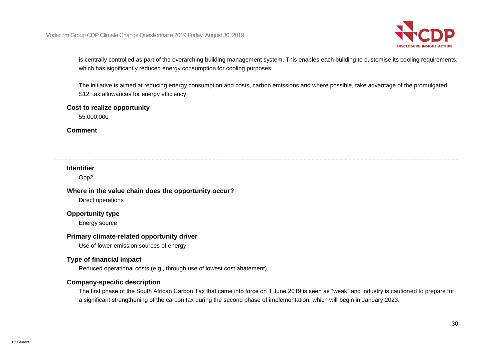

is centrally controlled as part of the overarching building management system. This enables each building to customise its cooling requirements, which has significantly reduced energy consumption for cooling purposes.

The initiative is aimed at reducing energy consumption and costs, carbon emissions and where possible, take advantage of the promulgated S12l tax allowances for energy efficiency.

#### **Cost to realize opportunity**

55,000,000

#### **Comment**

## **Identifier**

Opp2

#### **Where in the value chain does the opportunity occur?**

Direct operations

#### **Opportunity type**

Energy source

#### **Primary climate-related opportunity driver**

Use of lower-emission sources of energy

#### **Type of financial impact**

Reduced operational costs (e.g., through use of lowest cost abatement)

## **Company-specific description**

The first phase of the South African Carbon Tax that came into force on 1 June 2019 is seen as "weak" and industry is cautioned to prepare for a significant strengthening of the carbon tax during the second phase of implementation, which will begin in January 2023.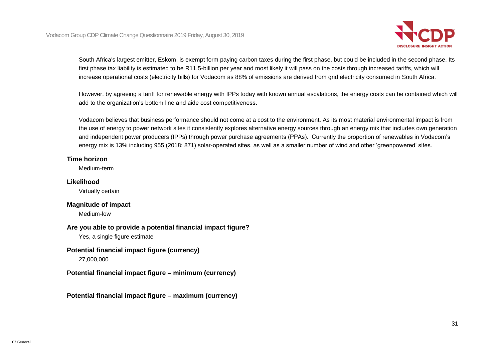

South Africa's largest emitter, Eskom, is exempt form paying carbon taxes during the first phase, but could be included in the second phase. Its first phase tax liability is estimated to be R11.5-billion per year and most likely it will pass on the costs through increased tariffs, which will increase operational costs (electricity bills) for Vodacom as 88% of emissions are derived from grid electricity consumed in South Africa.

However, by agreeing a tariff for renewable energy with IPPs today with known annual escalations, the energy costs can be contained which will add to the organization's bottom line and aide cost competitiveness.

Vodacom believes that business performance should not come at a cost to the environment. As its most material environmental impact is from the use of energy to power network sites it consistently explores alternative energy sources through an energy mix that includes own generation and independent power producers (IPPs) through power purchase agreements (PPAs). Currently the proportion of renewables in Vodacom's energy mix is 13% including 955 (2018: 871) solar-operated sites, as well as a smaller number of wind and other 'greenpowered' sites.

## **Time horizon**

Medium-term

## **Likelihood**

Virtually certain

## **Magnitude of impact**

Medium-low

## **Are you able to provide a potential financial impact figure?**

Yes, a single figure estimate

## **Potential financial impact figure (currency)**

27,000,000

**Potential financial impact figure – minimum (currency)**

**Potential financial impact figure – maximum (currency)**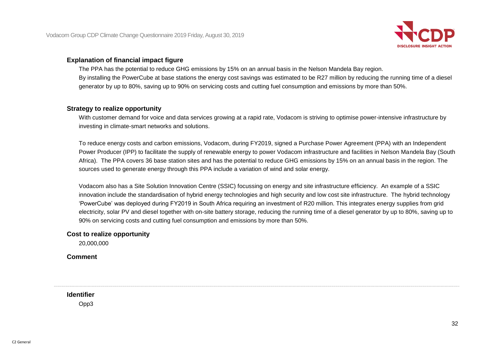

#### **Explanation of financial impact figure**

The PPA has the potential to reduce GHG emissions by 15% on an annual basis in the Nelson Mandela Bay region. By installing the PowerCube at base stations the energy cost savings was estimated to be R27 million by reducing the running time of a diesel generator by up to 80%, saving up to 90% on servicing costs and cutting fuel consumption and emissions by more than 50%.

## **Strategy to realize opportunity**

With customer demand for voice and data services growing at a rapid rate, Vodacom is striving to optimise power-intensive infrastructure by investing in climate-smart networks and solutions.

To reduce energy costs and carbon emissions, Vodacom, during FY2019, signed a Purchase Power Agreement (PPA) with an Independent Power Producer (IPP) to facilitate the supply of renewable energy to power Vodacom infrastructure and facilities in Nelson Mandela Bay (South Africa). The PPA covers 36 base station sites and has the potential to reduce GHG emissions by 15% on an annual basis in the region. The sources used to generate energy through this PPA include a variation of wind and solar energy.

Vodacom also has a Site Solution Innovation Centre (SSIC) focussing on energy and site infrastructure efficiency. An example of a SSIC innovation include the standardisation of hybrid energy technologies and high security and low cost site infrastructure. The hybrid technology 'PowerCube' was deployed during FY2019 in South Africa requiring an investment of R20 million. This integrates energy supplies from grid electricity, solar PV and diesel together with on-site battery storage, reducing the running time of a diesel generator by up to 80%, saving up to 90% on servicing costs and cutting fuel consumption and emissions by more than 50%.

## **Cost to realize opportunity**

20,000,000

**Comment**

**Identifier**

Opp3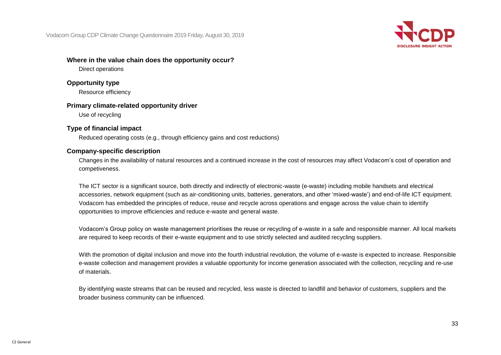Vodacom Group CDP Climate Change Questionnaire 2019 Friday, August 30, 2019



#### **Where in the value chain does the opportunity occur?**

Direct operations

## **Opportunity type**

Resource efficiency

## **Primary climate-related opportunity driver**

Use of recycling

## **Type of financial impact**

Reduced operating costs (e.g., through efficiency gains and cost reductions)

## **Company-specific description**

Changes in the availability of natural resources and a continued increase in the cost of resources may affect Vodacom's cost of operation and competiveness.

The ICT sector is a significant source, both directly and indirectly of electronic-waste (e-waste) including mobile handsets and electrical accessories, network equipment (such as air-conditioning units, batteries, generators, and other 'mixed-waste') and end-of-life ICT equipment. Vodacom has embedded the principles of reduce, reuse and recycle across operations and engage across the value chain to identify opportunities to improve efficiencies and reduce e-waste and general waste.

Vodacom's Group policy on waste management prioritises the reuse or recycling of e-waste in a safe and responsible manner. All local markets are required to keep records of their e-waste equipment and to use strictly selected and audited recycling suppliers.

With the promotion of digital inclusion and move into the fourth industrial revolution, the volume of e-waste is expected to increase. Responsible e-waste collection and management provides a valuable opportunity for income generation associated with the collection, recycling and re-use of materials.

By identifying waste streams that can be reused and recycled, less waste is directed to landfill and behavior of customers, suppliers and the broader business community can be influenced.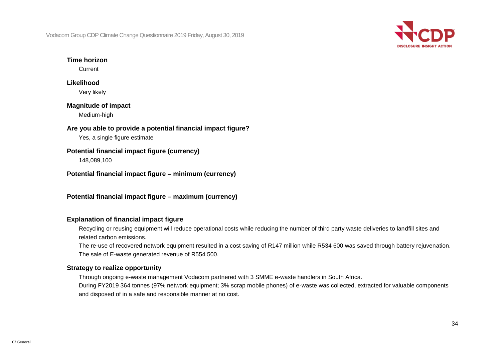Vodacom Group CDP Climate Change Questionnaire 2019 Friday, August 30, 2019



## **Time horizon**

**Current** 

## **Likelihood** Very likely

## **Magnitude of impact**

Medium-high

## **Are you able to provide a potential financial impact figure?**

Yes, a single figure estimate

## **Potential financial impact figure (currency)**

148,089,100

**Potential financial impact figure – minimum (currency)**

**Potential financial impact figure – maximum (currency)**

## **Explanation of financial impact figure**

Recycling or reusing equipment will reduce operational costs while reducing the number of third party waste deliveries to landfill sites and related carbon emissions.

The re-use of recovered network equipment resulted in a cost saving of R147 million while R534 600 was saved through battery rejuvenation. The sale of E-waste generated revenue of R554 500.

## **Strategy to realize opportunity**

Through ongoing e-waste management Vodacom partnered with 3 SMME e-waste handlers in South Africa.

During FY2019 364 tonnes (97% network equipment; 3% scrap mobile phones) of e-waste was collected, extracted for valuable components and disposed of in a safe and responsible manner at no cost.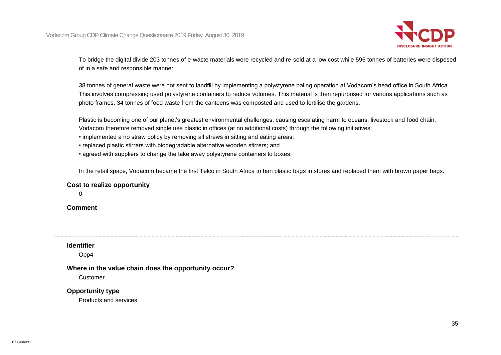

To bridge the digital divide 203 tonnes of e-waste materials were recycled and re-sold at a low cost while 596 tonnes of batteries were disposed of in a safe and responsible manner.

38 tonnes of general waste were not sent to landfill by implementing a polystyrene baling operation at Vodacom's head office in South Africa. This involves compressing used polystyrene containers to reduce volumes. This material is then repurposed for various applications such as photo frames. 34 tonnes of food waste from the canteens was composted and used to fertilise the gardens.

Plastic is becoming one of our planet's greatest environmental challenges, causing escalating harm to oceans, livestock and food chain. Vodacom therefore removed single use plastic in offices (at no additional costs) through the following initiatives:

- implemented a no straw policy by removing all straws in sitting and eating areas;
- replaced plastic stirrers with biodegradable alternative wooden stirrers; and
- agreed with suppliers to change the take away polystyrene containers to boxes.

In the retail space, Vodacom became the first Telco in South Africa to ban plastic bags in stores and replaced them with brown paper bags.

#### **Cost to realize opportunity**

 $\Omega$ 

**Comment**

#### **Identifier**

Opp4

## **Where in the value chain does the opportunity occur?**

Customer

## **Opportunity type**

Products and services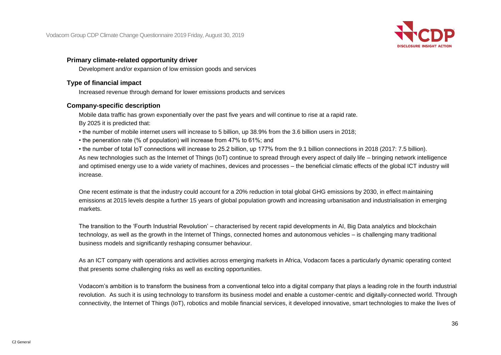

## **Primary climate-related opportunity driver**

Development and/or expansion of low emission goods and services

## **Type of financial impact**

Increased revenue through demand for lower emissions products and services

## **Company-specific description**

Mobile data traffic has grown exponentially over the past five years and will continue to rise at a rapid rate. By 2025 it is predicted that:

• the number of mobile internet users will increase to 5 billion, up 38.9% from the 3.6 billion users in 2018;

• the peneration rate (% of population) will increase from 47% to 61%; and

• the number of total IoT connections will increase to 25.2 billion, up 177% from the 9.1 billion connections in 2018 (2017: 7.5 billion). As new technologies such as the Internet of Things (IoT) continue to spread through every aspect of daily life – bringing network intelligence and optimised energy use to a wide variety of machines, devices and processes – the beneficial climatic effects of the global ICT industry will increase.

One recent estimate is that the industry could account for a 20% reduction in total global GHG emissions by 2030, in effect maintaining emissions at 2015 levels despite a further 15 years of global population growth and increasing urbanisation and industrialisation in emerging markets.

The transition to the 'Fourth Industrial Revolution' – characterised by recent rapid developments in AI, Big Data analytics and blockchain technology, as well as the growth in the Internet of Things, connected homes and autonomous vehicles – is challenging many traditional business models and significantly reshaping consumer behaviour.

As an ICT company with operations and activities across emerging markets in Africa, Vodacom faces a particularly dynamic operating context that presents some challenging risks as well as exciting opportunities.

Vodacom's ambition is to transform the business from a conventional telco into a digital company that plays a leading role in the fourth industrial revolution. As such it is using technology to transform its business model and enable a customer-centric and digitally-connected world. Through connectivity, the Internet of Things (IoT), robotics and mobile financial services, it developed innovative, smart technologies to make the lives of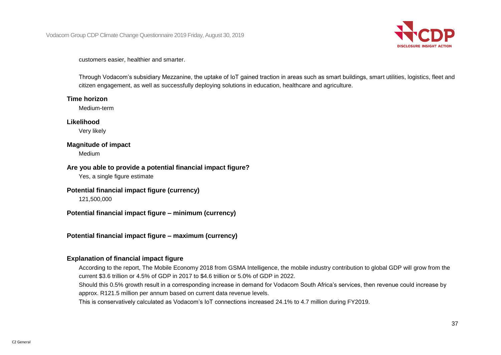

customers easier, healthier and smarter.

Through Vodacom's subsidiary Mezzanine, the uptake of IoT gained traction in areas such as smart buildings, smart utilities, logistics, fleet and citizen engagement, as well as successfully deploying solutions in education, healthcare and agriculture.

#### **Time horizon**

Medium-term

#### **Likelihood**

Very likely

#### **Magnitude of impact**

Medium

#### **Are you able to provide a potential financial impact figure?**

Yes, a single figure estimate

#### **Potential financial impact figure (currency)**

121,500,000

**Potential financial impact figure – minimum (currency)**

**Potential financial impact figure – maximum (currency)**

#### **Explanation of financial impact figure**

According to the report, The Mobile Economy 2018 from GSMA Intelligence, the mobile industry contribution to global GDP will grow from the current \$3.6 trillion or 4.5% of GDP in 2017 to \$4.6 trillion or 5.0% of GDP in 2022.

Should this 0.5% growth result in a corresponding increase in demand for Vodacom South Africa's services, then revenue could increase by approx. R121.5 million per annum based on current data revenue levels.

This is conservatively calculated as Vodacom's IoT connections increased 24.1% to 4.7 million during FY2019.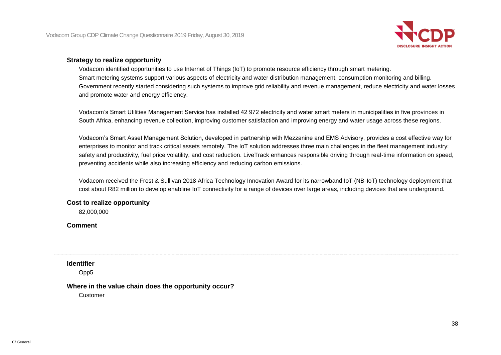

#### **Strategy to realize opportunity**

Vodacom identified opportunities to use Internet of Things (IoT) to promote resource efficiency through smart metering. Smart metering systems support various aspects of electricity and water distribution management, consumption monitoring and billing. Government recently started considering such systems to improve grid reliability and revenue management, reduce electricity and water losses and promote water and energy efficiency.

Vodacom's Smart Utilities Management Service has installed 42 972 electricity and water smart meters in municipalities in five provinces in South Africa, enhancing revenue collection, improving customer satisfaction and improving energy and water usage across these regions.

Vodacom's Smart Asset Management Solution, developed in partnership with Mezzanine and EMS Advisory, provides a cost effective way for enterprises to monitor and track critical assets remotely. The IoT solution addresses three main challenges in the fleet management industry: safety and productivity, fuel price volatility, and cost reduction. LiveTrack enhances responsible driving through real-time information on speed, preventing accidents while also increasing efficiency and reducing carbon emissions.

Vodacom received the Frost & Sullivan 2018 Africa Technology Innovation Award for its narrowband IoT (NB-IoT) technology deployment that cost about R82 million to develop enabline IoT connectivity for a range of devices over large areas, including devices that are underground.

#### **Cost to realize opportunity**

82,000,000

#### **Comment**

**Identifier**

Opp5

#### **Where in the value chain does the opportunity occur?**

Customer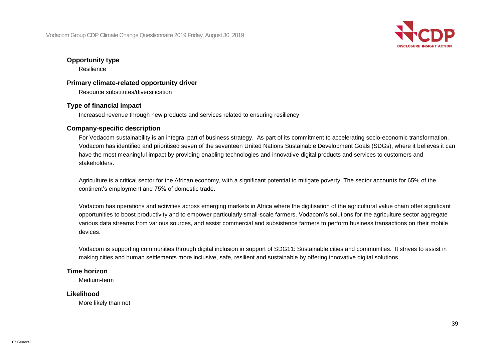

#### **Opportunity type**

Resilience

#### **Primary climate-related opportunity driver**

Resource substitutes/diversification

#### **Type of financial impact**

Increased revenue through new products and services related to ensuring resiliency

#### **Company-specific description**

For Vodacom sustainability is an integral part of business strategy. As part of its commitment to accelerating socio-economic transformation, Vodacom has identified and prioritised seven of the seventeen United Nations Sustainable Development Goals (SDGs), where it believes it can have the most meaningful impact by providing enabling technologies and innovative digital products and services to customers and stakeholders.

Agriculture is a critical sector for the African economy, with a significant potential to mitigate poverty. The sector accounts for 65% of the continent's employment and 75% of domestic trade.

Vodacom has operations and activities across emerging markets in Africa where the digitisation of the agricultural value chain offer significant opportunities to boost productivity and to empower particularly small-scale farmers. Vodacom's solutions for the agriculture sector aggregate various data streams from various sources, and assist commercial and subsistence farmers to perform business transactions on their mobile devices.

Vodacom is supporting communities through digital inclusion in support of SDG11: Sustainable cities and communities. It strives to assist in making cities and human settlements more inclusive, safe, resilient and sustainable by offering innovative digital solutions.

#### **Time horizon**

Medium-term

#### **Likelihood**

More likely than not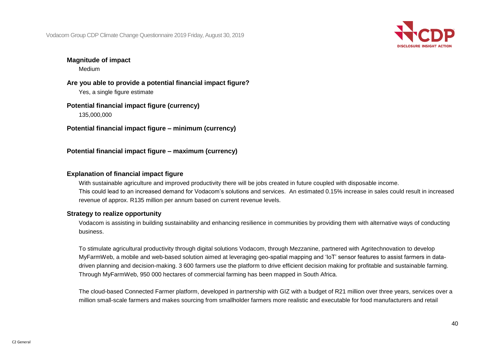

#### **Magnitude of impact**

Medium

**Are you able to provide a potential financial impact figure?** Yes, a single figure estimate

**Potential financial impact figure (currency)** 135,000,000

**Potential financial impact figure – minimum (currency)**

**Potential financial impact figure – maximum (currency)**

#### **Explanation of financial impact figure**

With sustainable agriculture and improved productivity there will be jobs created in future coupled with disposable income. This could lead to an increased demand for Vodacom's solutions and services. An estimated 0.15% increase in sales could result in increased revenue of approx. R135 million per annum based on current revenue levels.

#### **Strategy to realize opportunity**

Vodacom is assisting in building sustainability and enhancing resilience in communities by providing them with alternative ways of conducting business.

To stimulate agricultural productivity through digital solutions Vodacom, through Mezzanine, partnered with Agritechnovation to develop MyFarmWeb, a mobile and web-based solution aimed at leveraging geo-spatial mapping and 'IoT' sensor features to assist farmers in datadriven planning and decision-making. 3 600 farmers use the platform to drive efficient decision making for profitable and sustainable farming. Through MyFarmWeb, 950 000 hectares of commercial farming has been mapped in South Africa.

The cloud-based Connected Farmer platform, developed in partnership with GIZ with a budget of R21 million over three years, services over a million small-scale farmers and makes sourcing from smallholder farmers more realistic and executable for food manufacturers and retail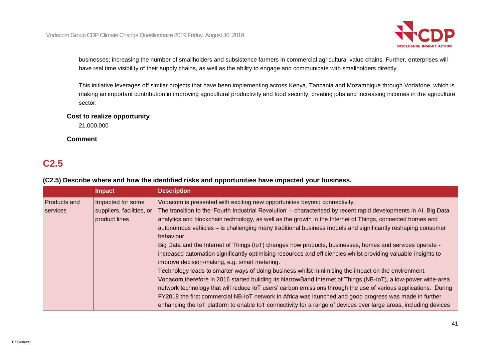

businesses; increasing the number of smallholders and subsistence farmers in commercial agricultural value chains. Further, enterprises will have real time visibility of their supply chains, as well as the ability to engage and communicate with smallholders directly.

This initiative leverages off similar projects that have been implementing across Kenya, Tanzania and Mozambique through Vodafone, which is making an important contribution in improving agricultural productivity and food security, creating jobs and increasing incomes in the agriculture sector.

#### **Cost to realize opportunity**

21,000,000

#### **Comment**

### **C2.5**

| (C2.5) Describe where and how the identified risks and opportunities have impacted your business. |
|---------------------------------------------------------------------------------------------------|
|---------------------------------------------------------------------------------------------------|

|              | <b>Impact</b>             | <b>Description</b>                                                                                                |
|--------------|---------------------------|-------------------------------------------------------------------------------------------------------------------|
| Products and | Impacted for some         | Vodacom is presented with exciting new opportunities beyond connectivity.                                         |
| services     | suppliers, facilities, or | The transition to the 'Fourth Industrial Revolution' – characterised by recent rapid developments in AI, Big Data |
|              | product lines             | analytics and blockchain technology, as well as the growth in the Internet of Things, connected homes and         |
|              |                           | autonomous vehicles – is challenging many traditional business models and significantly reshaping consumer        |
|              |                           | behaviour.                                                                                                        |
|              |                           | Big Data and the Internet of Things (IoT) changes how products, businesses, homes and services operate -          |
|              |                           | increased automation significantly optimising resources and efficiencies whilst providing valuable insights to    |
|              |                           | improve decision-making, e.g. smart metering.                                                                     |
|              |                           | Technology leads to smarter ways of doing business whilst minimising the impact on the environment.               |
|              |                           | Vodacom therefore in 2016 started building its NarrowBand Internet of Things (NB-IoT), a low-power wide-area      |
|              |                           | network technology that will reduce IoT users' carbon emissions through the use of various applications. During   |
|              |                           | FY2018 the first commercial NB-IoT network in Africa was launched and good progress was made in further           |
|              |                           | enhancing the IoT platform to enable IoT connectivity for a range of devices over large areas, including devices  |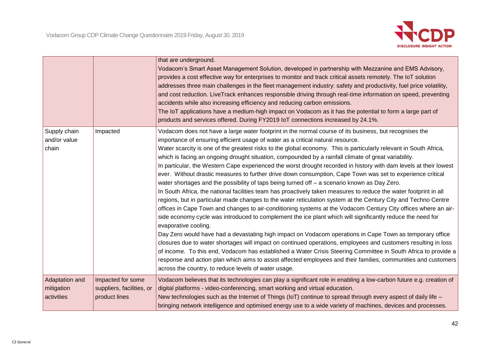

|                                            |                                                                 | that are underground.<br>Vodacom's Smart Asset Management Solution, developed in partnership with Mezzanine and EMS Advisory,<br>provides a cost effective way for enterprises to monitor and track critical assets remotely. The IoT solution<br>addresses three main challenges in the fleet management industry: safety and productivity, fuel price volatility,<br>and cost reduction. LiveTrack enhances responsible driving through real-time information on speed, preventing<br>accidents while also increasing efficiency and reducing carbon emissions.<br>The IoT applications have a medium-high impact on Vodacom as it has the potential to form a large part of<br>products and services offered. During FY2019 IoT connections increased by 24.1%.                                                                                                                                                                                                                                                                                                                                                                                                                                                                                                                                                                                                                                                                                                                                                                                                                                                                                                                                                                                                                 |
|--------------------------------------------|-----------------------------------------------------------------|------------------------------------------------------------------------------------------------------------------------------------------------------------------------------------------------------------------------------------------------------------------------------------------------------------------------------------------------------------------------------------------------------------------------------------------------------------------------------------------------------------------------------------------------------------------------------------------------------------------------------------------------------------------------------------------------------------------------------------------------------------------------------------------------------------------------------------------------------------------------------------------------------------------------------------------------------------------------------------------------------------------------------------------------------------------------------------------------------------------------------------------------------------------------------------------------------------------------------------------------------------------------------------------------------------------------------------------------------------------------------------------------------------------------------------------------------------------------------------------------------------------------------------------------------------------------------------------------------------------------------------------------------------------------------------------------------------------------------------------------------------------------------------|
| Supply chain<br>and/or value<br>chain      | Impacted                                                        | Vodacom does not have a large water footprint in the normal course of its business, but recognises the<br>importance of ensuring efficient usage of water as a critical natural resource.<br>Water scarcity is one of the greatest risks to the global economy. This is particularly relevant in South Africa,<br>which is facing an ongoing drought situation, compounded by a rainfall climate of great variability.<br>In particular, the Western Cape experienced the worst drought recorded in history with dam levels at their lowest<br>ever. Without drastic measures to further drive down consumption, Cape Town was set to experience critical<br>water shortages and the possibility of taps being turned off - a scenario known as Day Zero.<br>In South Africa, the national facilities team has proactively taken measures to reduce the water footprint in all<br>regions, but in particular made changes to the water reticulation system at the Century City and Techno Centre<br>offices in Cape Town and changes to air-conditioning systems at the Vodacom Century City offices where an air-<br>side economy cycle was introduced to complement the ice plant which will significantly reduce the need for<br>evaporative cooling.<br>Day Zero would have had a devastating high impact on Vodacom operations in Cape Town as temporary office<br>closures due to water shortages will impact on continued operations, employees and customers resulting in loss<br>of income. To this end, Vodacom has established a Water Crisis Steering Committee in South Africa to provide a<br>response and action plan which aims to assist affected employees and their families, communities and customers<br>across the country, to reduce levels of water usage. |
| Adaptation and<br>mitigation<br>activities | Impacted for some<br>suppliers, facilities, or<br>product lines | Vodacom believes that its technologies can play a significant role in enabling a low-carbon future e.g. creation of<br>digital platforms - video-conferencing, smart working and virtual education.<br>New technologies such as the Internet of Things (IoT) continue to spread through every aspect of daily life -<br>bringing network intelligence and optimised energy use to a wide variety of machines, devices and processes.                                                                                                                                                                                                                                                                                                                                                                                                                                                                                                                                                                                                                                                                                                                                                                                                                                                                                                                                                                                                                                                                                                                                                                                                                                                                                                                                               |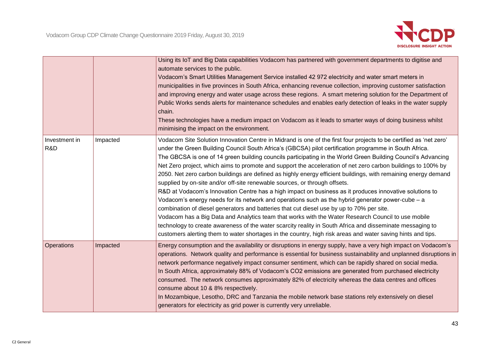

|                      |          | Using its IoT and Big Data capabilities Vodacom has partnered with government departments to digitise and<br>automate services to the public.<br>Vodacom's Smart Utilities Management Service installed 42 972 electricity and water smart meters in<br>municipalities in five provinces in South Africa, enhancing revenue collection, improving customer satisfaction<br>and improving energy and water usage across these regions. A smart metering solution for the Department of<br>Public Works sends alerts for maintenance schedules and enables early detection of leaks in the water supply<br>chain.<br>These technologies have a medium impact on Vodacom as it leads to smarter ways of doing business whilst<br>minimising the impact on the environment.                                                                                                                                                                                                                                                                                                                                                                                                                                                                                                                                     |
|----------------------|----------|-------------------------------------------------------------------------------------------------------------------------------------------------------------------------------------------------------------------------------------------------------------------------------------------------------------------------------------------------------------------------------------------------------------------------------------------------------------------------------------------------------------------------------------------------------------------------------------------------------------------------------------------------------------------------------------------------------------------------------------------------------------------------------------------------------------------------------------------------------------------------------------------------------------------------------------------------------------------------------------------------------------------------------------------------------------------------------------------------------------------------------------------------------------------------------------------------------------------------------------------------------------------------------------------------------------|
| Investment in<br>R&D | Impacted | Vodacom Site Solution Innovation Centre in Midrand is one of the first four projects to be certified as 'net zero'<br>under the Green Building Council South Africa's (GBCSA) pilot certification programme in South Africa.<br>The GBCSA is one of 14 green building councils participating in the World Green Building Council's Advancing<br>Net Zero project, which aims to promote and support the acceleration of net zero carbon buildings to 100% by<br>2050. Net zero carbon buildings are defined as highly energy efficient buildings, with remaining energy demand<br>supplied by on-site and/or off-site renewable sources, or through offsets.<br>R&D at Vodacom's Innovation Centre has a high impact on business as it produces innovative solutions to<br>Vodacom's energy needs for its network and operations such as the hybrid generator power-cube – a<br>combination of diesel generators and batteries that cut diesel use by up to 70% per site.<br>Vodacom has a Big Data and Analytics team that works with the Water Research Council to use mobile<br>technology to create awareness of the water scarcity reality in South Africa and disseminate messaging to<br>customers alerting them to water shortages in the country, high risk areas and water saving hints and tips. |
| Operations           | Impacted | Energy consumption and the availability or disruptions in energy supply, have a very high impact on Vodacom's<br>operations. Network quality and performance is essential for business sustainability and unplanned disruptions in<br>network performance negatively impact consumer sentiment, which can be rapidly shared on social media.<br>In South Africa, approximately 88% of Vodacom's CO2 emissions are generated from purchased electricity<br>consumed. The network consumes approximately 82% of electricity whereas the data centres and offices<br>consume about 10 & 8% respectively.<br>In Mozambique, Lesotho, DRC and Tanzania the mobile network base stations rely extensively on diesel<br>generators for electricity as grid power is currently very unreliable.                                                                                                                                                                                                                                                                                                                                                                                                                                                                                                                     |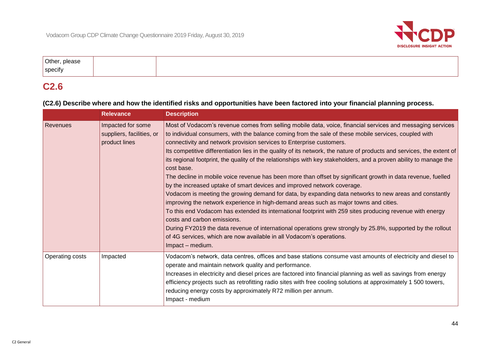

| Other, please |  |
|---------------|--|
| specify       |  |

### **C2.6**

#### **(C2.6) Describe where and how the identified risks and opportunities have been factored into your financial planning process.**

|                 | <b>Relevance</b>                                                | <b>Description</b>                                                                                                                                                                                                                                                                                                                                                                                                                                                                                                                                                                                                                                                                                                                                                                                                                                                                                                                                                                                                                                                                                                                                                                                                                                                                                             |
|-----------------|-----------------------------------------------------------------|----------------------------------------------------------------------------------------------------------------------------------------------------------------------------------------------------------------------------------------------------------------------------------------------------------------------------------------------------------------------------------------------------------------------------------------------------------------------------------------------------------------------------------------------------------------------------------------------------------------------------------------------------------------------------------------------------------------------------------------------------------------------------------------------------------------------------------------------------------------------------------------------------------------------------------------------------------------------------------------------------------------------------------------------------------------------------------------------------------------------------------------------------------------------------------------------------------------------------------------------------------------------------------------------------------------|
| <b>Revenues</b> | Impacted for some<br>suppliers, facilities, or<br>product lines | Most of Vodacom's revenue comes from selling mobile data, voice, financial services and messaging services<br>to individual consumers, with the balance coming from the sale of these mobile services, coupled with<br>connectivity and network provision services to Enterprise customers.<br>Its competitive differentiation lies in the quality of its network, the nature of products and services, the extent of<br>its regional footprint, the quality of the relationships with key stakeholders, and a proven ability to manage the<br>cost base.<br>The decline in mobile voice revenue has been more than offset by significant growth in data revenue, fuelled<br>by the increased uptake of smart devices and improved network coverage.<br>Vodacom is meeting the growing demand for data, by expanding data networks to new areas and constantly<br>improving the network experience in high-demand areas such as major towns and cities.<br>To this end Vodacom has extended its international footprint with 259 sites producing revenue with energy<br>costs and carbon emissions.<br>During FY2019 the data revenue of international operations grew strongly by 25.8%, supported by the rollout<br>of 4G services, which are now available in all Vodacom's operations.<br>Impact - medium. |
| Operating costs | Impacted                                                        | Vodacom's network, data centres, offices and base stations consume vast amounts of electricity and diesel to<br>operate and maintain network quality and performance.<br>Increases in electricity and diesel prices are factored into financial planning as well as savings from energy<br>efficiency projects such as retrofitting radio sites with free cooling solutions at approximately 1 500 towers,<br>reducing energy costs by approximately R72 million per annum.<br>Impact - medium                                                                                                                                                                                                                                                                                                                                                                                                                                                                                                                                                                                                                                                                                                                                                                                                                 |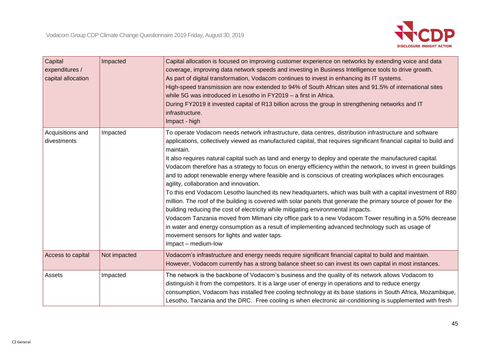

| Capital<br>expenditures /<br>capital allocation | Impacted     | Capital allocation is focused on improving customer experience on networks by extending voice and data<br>coverage, improving data network speeds and investing in Business Intelligence tools to drive growth.<br>As part of digital transformation, Vodacom continues to invest in enhancing its IT systems.<br>High-speed transmission are now extended to 94% of South African sites and 91.5% of international sites<br>while 5G was introduced in Lesotho in FY2019 - a first in Africa.<br>During FY2019 it invested capital of R13 billion across the group in strengthening networks and IT<br>infrastructure.<br>Impact - high                                                                                                                                                                                                                                                                                                                                                                                                                                                                                                                                                                                                   |
|-------------------------------------------------|--------------|--------------------------------------------------------------------------------------------------------------------------------------------------------------------------------------------------------------------------------------------------------------------------------------------------------------------------------------------------------------------------------------------------------------------------------------------------------------------------------------------------------------------------------------------------------------------------------------------------------------------------------------------------------------------------------------------------------------------------------------------------------------------------------------------------------------------------------------------------------------------------------------------------------------------------------------------------------------------------------------------------------------------------------------------------------------------------------------------------------------------------------------------------------------------------------------------------------------------------------------------|
| Acquisitions and<br>divestments                 | Impacted     | To operate Vodacom needs network infrastructure, data centres, distribution infrastructure and software<br>applications, collectively viewed as manufactured capital, that requires significant financial capital to build and<br>maintain.<br>It also requires natural capital such as land and energy to deploy and operate the manufactured capital.<br>Vodacom therefore has a strategy to focus on energy efficiency within the network, to invest in green buildings<br>and to adopt renewable energy where feasible and is conscious of creating workplaces which encourages<br>agility, collaboration and innovation.<br>To this end Vodacom Lesotho launched its new headquarters, which was built with a capital investment of R80<br>million. The roof of the building is covered with solar panels that generate the primary source of power for the<br>building reducing the cost of electricity while mitigating environmental impacts.<br>Vodacom Tanzania moved from Mlimani city office park to a new Vodacom Tower resulting in a 50% decrease<br>in water and energy consumption as a result of implementing advanced technology such as usage of<br>movement sensors for lights and water taps.<br>Impact - medium-low |
| Access to capital                               | Not impacted | Vodacom's infrastructure and energy needs require significant financial capital to build and maintain.<br>However, Vodacom currently has a strong balance sheet so can invest its own capital in most instances.                                                                                                                                                                                                                                                                                                                                                                                                                                                                                                                                                                                                                                                                                                                                                                                                                                                                                                                                                                                                                           |
| Assets                                          | Impacted     | The network is the backbone of Vodacom's business and the quality of its network allows Vodacom to<br>distinguish it from the competitors. It is a large user of energy in operations and to reduce energy<br>consumption, Vodacom has installed free cooling technology at its base stations in South Africa, Mozambique,<br>Lesotho, Tanzania and the DRC. Free cooling is when electronic air-conditioning is supplemented with fresh                                                                                                                                                                                                                                                                                                                                                                                                                                                                                                                                                                                                                                                                                                                                                                                                   |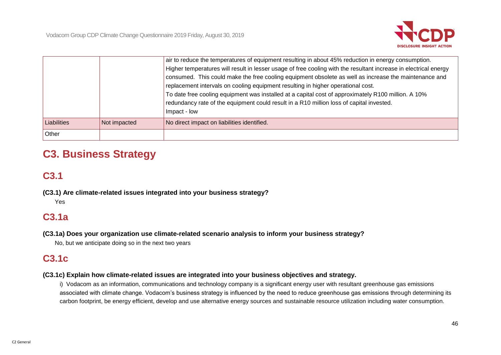

|             |              | air to reduce the temperatures of equipment resulting in about 45% reduction in energy consumption.<br>Higher temperatures will result in lesser usage of free cooling with the resultant increase in electrical energy<br>consumed. This could make the free cooling equipment obsolete as well as increase the maintenance and<br>replacement intervals on cooling equipment resulting in higher operational cost.<br>To date free cooling equipment was installed at a capital cost of approximately R100 million. A 10%<br>redundancy rate of the equipment could result in a R10 million loss of capital invested.<br>Impact - low |
|-------------|--------------|-----------------------------------------------------------------------------------------------------------------------------------------------------------------------------------------------------------------------------------------------------------------------------------------------------------------------------------------------------------------------------------------------------------------------------------------------------------------------------------------------------------------------------------------------------------------------------------------------------------------------------------------|
| Liabilities | Not impacted | No direct impact on liabilities identified.                                                                                                                                                                                                                                                                                                                                                                                                                                                                                                                                                                                             |
| Other       |              |                                                                                                                                                                                                                                                                                                                                                                                                                                                                                                                                                                                                                                         |

# **C3. Business Strategy**

# **C3.1**

**(C3.1) Are climate-related issues integrated into your business strategy?**

Yes

## **C3.1a**

**(C3.1a) Does your organization use climate-related scenario analysis to inform your business strategy?**

No, but we anticipate doing so in the next two years

# **C3.1c**

#### **(C3.1c) Explain how climate-related issues are integrated into your business objectives and strategy.**

i) Vodacom as an information, communications and technology company is a significant energy user with resultant greenhouse gas emissions associated with climate change. Vodacom's business strategy is influenced by the need to reduce greenhouse gas emissions through determining its carbon footprint, be energy efficient, develop and use alternative energy sources and sustainable resource utilization including water consumption.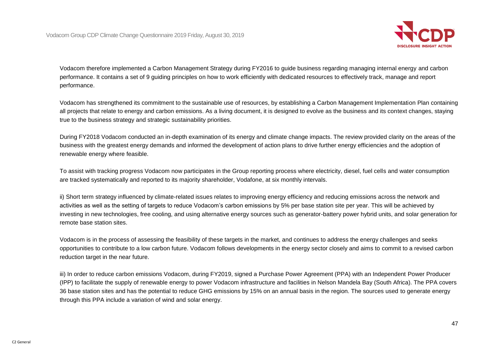

Vodacom therefore implemented a Carbon Management Strategy during FY2016 to guide business regarding managing internal energy and carbon performance. It contains a set of 9 guiding principles on how to work efficiently with dedicated resources to effectively track, manage and report performance.

Vodacom has strengthened its commitment to the sustainable use of resources, by establishing a Carbon Management Implementation Plan containing all projects that relate to energy and carbon emissions. As a living document, it is designed to evolve as the business and its context changes, staying true to the business strategy and strategic sustainability priorities.

During FY2018 Vodacom conducted an in-depth examination of its energy and climate change impacts. The review provided clarity on the areas of the business with the greatest energy demands and informed the development of action plans to drive further energy efficiencies and the adoption of renewable energy where feasible.

To assist with tracking progress Vodacom now participates in the Group reporting process where electricity, diesel, fuel cells and water consumption are tracked systematically and reported to its majority shareholder, Vodafone, at six monthly intervals.

ii) Short term strategy influenced by climate-related issues relates to improving energy efficiency and reducing emissions across the network and activities as well as the setting of targets to reduce Vodacom's carbon emissions by 5% per base station site per year. This will be achieved by investing in new technologies, free cooling, and using alternative energy sources such as generator-battery power hybrid units, and solar generation for remote base station sites.

Vodacom is in the process of assessing the feasibility of these targets in the market, and continues to address the energy challenges and seeks opportunities to contribute to a low carbon future. Vodacom follows developments in the energy sector closely and aims to commit to a revised carbon reduction target in the near future.

iii) In order to reduce carbon emissions Vodacom, during FY2019, signed a Purchase Power Agreement (PPA) with an Independent Power Producer (IPP) to facilitate the supply of renewable energy to power Vodacom infrastructure and facilities in Nelson Mandela Bay (South Africa). The PPA covers 36 base station sites and has the potential to reduce GHG emissions by 15% on an annual basis in the region. The sources used to generate energy through this PPA include a variation of wind and solar energy.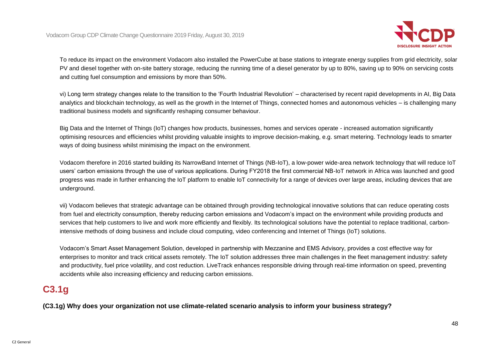

To reduce its impact on the environment Vodacom also installed the PowerCube at base stations to integrate energy supplies from grid electricity, solar PV and diesel together with on-site battery storage, reducing the running time of a diesel generator by up to 80%, saving up to 90% on servicing costs and cutting fuel consumption and emissions by more than 50%.

vi) Long term strategy changes relate to the transition to the 'Fourth Industrial Revolution' – characterised by recent rapid developments in AI, Big Data analytics and blockchain technology, as well as the growth in the Internet of Things, connected homes and autonomous vehicles – is challenging many traditional business models and significantly reshaping consumer behaviour.

Big Data and the Internet of Things (IoT) changes how products, businesses, homes and services operate - increased automation significantly optimising resources and efficiencies whilst providing valuable insights to improve decision-making, e.g. smart metering. Technology leads to smarter ways of doing business whilst minimising the impact on the environment.

Vodacom therefore in 2016 started building its NarrowBand Internet of Things (NB-IoT), a low-power wide-area network technology that will reduce IoT users' carbon emissions through the use of various applications. During FY2018 the first commercial NB-IoT network in Africa was launched and good progress was made in further enhancing the IoT platform to enable IoT connectivity for a range of devices over large areas, including devices that are underground.

vii) Vodacom believes that strategic advantage can be obtained through providing technological innovative solutions that can reduce operating costs from fuel and electricity consumption, thereby reducing carbon emissions and Vodacom's impact on the environment while providing products and services that help customers to live and work more efficiently and flexibly. Its technological solutions have the potential to replace traditional, carbonintensive methods of doing business and include cloud computing, video conferencing and Internet of Things (IoT) solutions.

Vodacom's Smart Asset Management Solution, developed in partnership with Mezzanine and EMS Advisory, provides a cost effective way for enterprises to monitor and track critical assets remotely. The IoT solution addresses three main challenges in the fleet management industry: safety and productivity, fuel price volatility, and cost reduction. LiveTrack enhances responsible driving through real-time information on speed, preventing accidents while also increasing efficiency and reducing carbon emissions.

## **C3.1g**

**(C3.1g) Why does your organization not use climate-related scenario analysis to inform your business strategy?**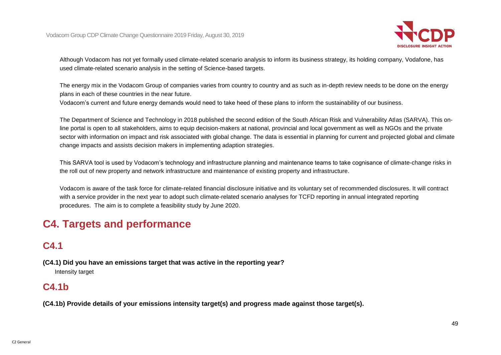

Although Vodacom has not yet formally used climate-related scenario analysis to inform its business strategy, its holding company, Vodafone, has used climate-related scenario analysis in the setting of Science-based targets.

The energy mix in the Vodacom Group of companies varies from country to country and as such as in-depth review needs to be done on the energy plans in each of these countries in the near future.

Vodacom's current and future energy demands would need to take heed of these plans to inform the sustainability of our business.

The Department of Science and Technology in 2018 published the second edition of the South African Risk and Vulnerability Atlas (SARVA). This online portal is open to all stakeholders, aims to equip decision-makers at national, provincial and local government as well as NGOs and the private sector with information on impact and risk associated with global change. The data is essential in planning for current and projected global and climate change impacts and assists decision makers in implementing adaption strategies.

This SARVA tool is used by Vodacom's technology and infrastructure planning and maintenance teams to take cognisance of climate-change risks in the roll out of new property and network infrastructure and maintenance of existing property and infrastructure.

Vodacom is aware of the task force for climate-related financial disclosure initiative and its voluntary set of recommended disclosures. It will contract with a service provider in the next year to adopt such climate-related scenario analyses for TCFD reporting in annual integrated reporting procedures. The aim is to complete a feasibility study by June 2020.

# **C4. Targets and performance**

# **C4.1**

**(C4.1) Did you have an emissions target that was active in the reporting year?**

Intensity target

## **C4.1b**

**(C4.1b) Provide details of your emissions intensity target(s) and progress made against those target(s).**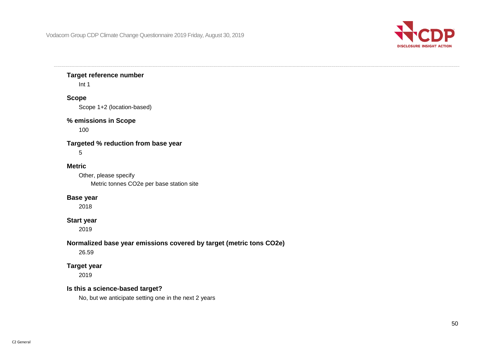

#### **Target reference number**

Int 1

#### **Scope**

Scope 1+2 (location-based)

#### **% emissions in Scope**

100

#### **Targeted % reduction from base year**

5

#### **Metric**

Other, please specify Metric tonnes CO2e per base station site

#### **Base year**

2018

#### **Start year**

2019

#### **Normalized base year emissions covered by target (metric tons CO2e)**

26.59

#### **Target year**

2019

#### **Is this a science-based target?**

No, but we anticipate setting one in the next 2 years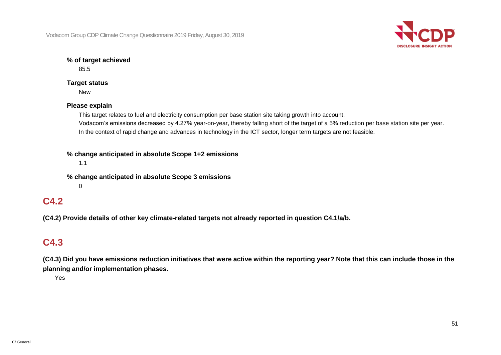

#### **% of target achieved**

85.5

#### **Target status**

New

#### **Please explain**

This target relates to fuel and electricity consumption per base station site taking growth into account. Vodacom's emissions decreased by 4.27% year-on-year, thereby falling short of the target of a 5% reduction per base station site per year. In the context of rapid change and advances in technology in the ICT sector, longer term targets are not feasible.

**% change anticipated in absolute Scope 1+2 emissions**

1.1

**% change anticipated in absolute Scope 3 emissions**  $\Omega$ 

### **C4.2**

**(C4.2) Provide details of other key climate-related targets not already reported in question C4.1/a/b.**

## **C4.3**

**(C4.3) Did you have emissions reduction initiatives that were active within the reporting year? Note that this can include those in the planning and/or implementation phases.**

Yes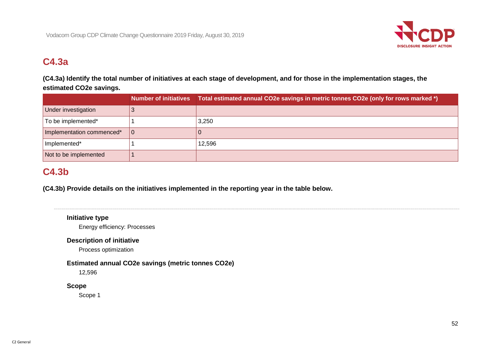

## **C4.3a**

### **(C4.3a) Identify the total number of initiatives at each stage of development, and for those in the implementation stages, the estimated CO2e savings.**

|                           |     | Number of initiatives Total estimated annual CO2e savings in metric tonnes CO2e (only for rows marked *) |
|---------------------------|-----|----------------------------------------------------------------------------------------------------------|
| Under investigation       |     |                                                                                                          |
| To be implemented*        |     | 3,250                                                                                                    |
| Implementation commenced* | l 0 |                                                                                                          |
| Implemented*              |     | 12,596                                                                                                   |
| Not to be implemented     |     |                                                                                                          |

# **C4.3b**

**(C4.3b) Provide details on the initiatives implemented in the reporting year in the table below.**

#### **Initiative type**

Energy efficiency: Processes

#### **Description of initiative**

Process optimization

#### **Estimated annual CO2e savings (metric tonnes CO2e)**

12,596

#### **Scope**

Scope 1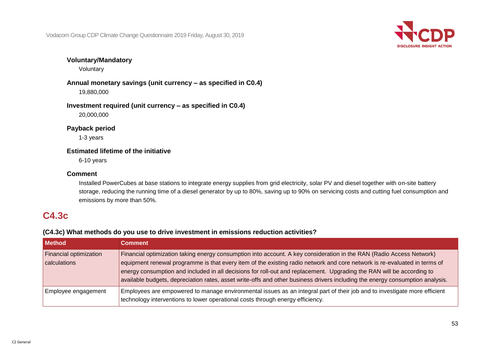

#### **Voluntary/Mandatory**

Voluntary

**Annual monetary savings (unit currency – as specified in C0.4)** 19,880,000

**Investment required (unit currency – as specified in C0.4)** 20,000,000

**Payback period**

1-3 years

#### **Estimated lifetime of the initiative**

6-10 years

#### **Comment**

Installed PowerCubes at base stations to integrate energy supplies from grid electricity, solar PV and diesel together with on-site battery storage, reducing the running time of a diesel generator by up to 80%, saving up to 90% on servicing costs and cutting fuel consumption and emissions by more than 50%.

## **C4.3c**

#### **(C4.3c) What methods do you use to drive investment in emissions reduction activities?**

| <b>Method</b>                          | <b>Comment</b>                                                                                                                                                                                                                                                                                                                                                                                                                                                                                              |
|----------------------------------------|-------------------------------------------------------------------------------------------------------------------------------------------------------------------------------------------------------------------------------------------------------------------------------------------------------------------------------------------------------------------------------------------------------------------------------------------------------------------------------------------------------------|
| Financial optimization<br>calculations | Financial optimization taking energy consumption into account. A key consideration in the RAN (Radio Access Network)<br>equipment renewal programme is that every item of the existing radio network and core network is re-evaluated in terms of<br>energy consumption and included in all decisions for roll-out and replacement. Upgrading the RAN will be according to<br>available budgets, depreciation rates, asset write-offs and other business drivers including the energy consumption analysis. |
| Employee engagement                    | Employees are empowered to manage environmental issues as an integral part of their job and to investigate more efficient<br>technology interventions to lower operational costs through energy efficiency.                                                                                                                                                                                                                                                                                                 |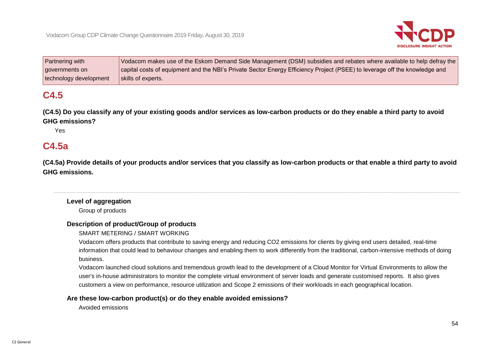

| Partnering with        | Vodacom makes use of the Eskom Demand Side Management (DSM) subsidies and rebates where available to help defray the       |
|------------------------|----------------------------------------------------------------------------------------------------------------------------|
| governments on         | capital costs of equipment and the NBI's Private Sector Energy Efficiency Project (PSEE) to leverage off the knowledge and |
| technology development | skills of experts.                                                                                                         |

# **C4.5**

**(C4.5) Do you classify any of your existing goods and/or services as low-carbon products or do they enable a third party to avoid GHG emissions?**

Yes

### **C4.5a**

**(C4.5a) Provide details of your products and/or services that you classify as low-carbon products or that enable a third party to avoid GHG emissions.**

**Level of aggregation** Group of products

#### **Description of product/Group of products**

SMART METERING / SMART WORKING

Vodacom offers products that contribute to saving energy and reducing CO2 emissions for clients by giving end users detailed, real-time information that could lead to behaviour changes and enabling them to work differently from the traditional, carbon-intensive methods of doing business.

Vodacom launched cloud solutions and tremendous growth lead to the development of a Cloud Monitor for Virtual Environments to allow the user's in-house administrators to monitor the complete virtual environment of server loads and generate customised reports. It also gives customers a view on performance, resource utilization and Scope 2 emissions of their workloads in each geographical location.

#### **Are these low-carbon product(s) or do they enable avoided emissions?**

Avoided emissions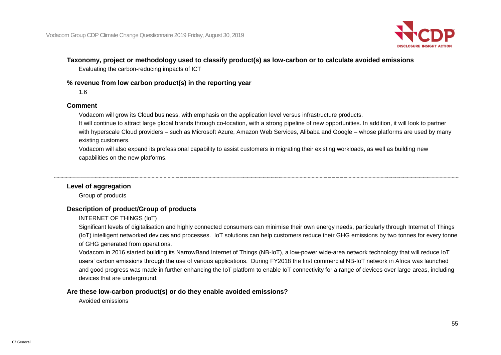

#### **Taxonomy, project or methodology used to classify product(s) as low-carbon or to calculate avoided emissions**

Evaluating the carbon-reducing impacts of ICT

#### **% revenue from low carbon product(s) in the reporting year**

1.6

#### **Comment**

Vodacom will grow its Cloud business, with emphasis on the application level versus infrastructure products.

It will continue to attract large global brands through co-location, with a strong pipeline of new opportunities. In addition, it will look to partner with hyperscale Cloud providers – such as Microsoft Azure, Amazon Web Services, Alibaba and Google – whose platforms are used by many existing customers.

Vodacom will also expand its professional capability to assist customers in migrating their existing workloads, as well as building new capabilities on the new platforms.

#### **Level of aggregation**

Group of products

#### **Description of product/Group of products**

INTERNET OF THINGS (IoT)

Significant levels of digitalisation and highly connected consumers can minimise their own energy needs, particularly through Internet of Things (IoT) intelligent networked devices and processes. IoT solutions can help customers reduce their GHG emissions by two tonnes for every tonne of GHG generated from operations.

Vodacom in 2016 started building its NarrowBand Internet of Things (NB-IoT), a low-power wide-area network technology that will reduce IoT users' carbon emissions through the use of various applications. During FY2018 the first commercial NB-IoT network in Africa was launched and good progress was made in further enhancing the IoT platform to enable IoT connectivity for a range of devices over large areas, including devices that are underground.

#### **Are these low-carbon product(s) or do they enable avoided emissions?**

Avoided emissions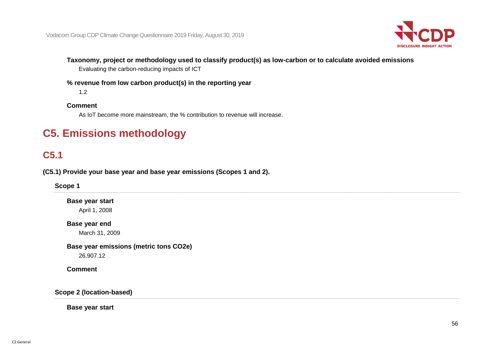

**Taxonomy, project or methodology used to classify product(s) as low-carbon or to calculate avoided emissions**

Evaluating the carbon-reducing impacts of ICT

**% revenue from low carbon product(s) in the reporting year**

1.2

#### **Comment**

As IoT become more mainstream, the % contribution to revenue will increase.

# **C5. Emissions methodology**

# **C5.1**

**(C5.1) Provide your base year and base year emissions (Scopes 1 and 2).**

**Scope 1**

**Base year start** April 1, 2008

**Base year end** March 31, 2009

**Base year emissions (metric tons CO2e)** 26,907.12

**Comment**

**Scope 2 (location-based)**

**Base year start**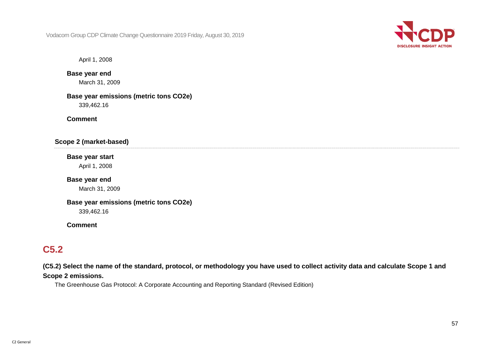

April 1, 2008

#### **Base year end**

March 31, 2009

**Base year emissions (metric tons CO2e)** 339,462.16

**Comment**

**Scope 2 (market-based)**

## **Base year start**

April 1, 2008

### **Base year end**

March 31, 2009

# **Base year emissions (metric tons CO2e)**

339,462.16

#### **Comment**

## **C5.2**

**(C5.2) Select the name of the standard, protocol, or methodology you have used to collect activity data and calculate Scope 1 and Scope 2 emissions.**

The Greenhouse Gas Protocol: A Corporate Accounting and Reporting Standard (Revised Edition)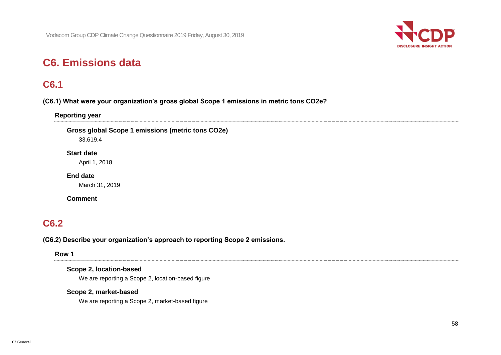

# **C6. Emissions data**

### **C6.1**

#### **(C6.1) What were your organization's gross global Scope 1 emissions in metric tons CO2e?**

**Reporting year**

**Gross global Scope 1 emissions (metric tons CO2e)**

33,619.4

#### **Start date**

April 1, 2018

**End date**

March 31, 2019

#### **Comment**

## **C6.2**

#### **(C6.2) Describe your organization's approach to reporting Scope 2 emissions.**

**Row 1**

#### **Scope 2, location-based**

We are reporting a Scope 2, location-based figure

#### **Scope 2, market-based**

We are reporting a Scope 2, market-based figure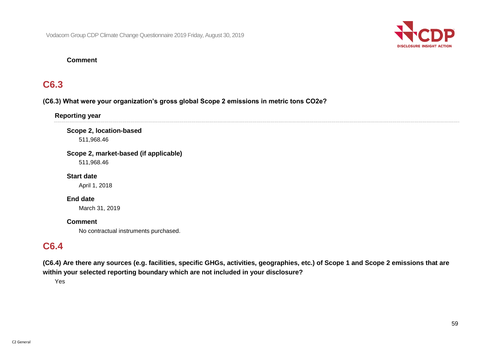

#### **Comment**

### **C6.3**

#### **(C6.3) What were your organization's gross global Scope 2 emissions in metric tons CO2e?**

**Reporting year**

**Scope 2, location-based** 511,968.46

**Scope 2, market-based (if applicable)**

511,968.46

**Start date** April 1, 2018

**End date**

March 31, 2019

#### **Comment**

No contractual instruments purchased.

### **C6.4**

**(C6.4) Are there any sources (e.g. facilities, specific GHGs, activities, geographies, etc.) of Scope 1 and Scope 2 emissions that are within your selected reporting boundary which are not included in your disclosure?**

Yes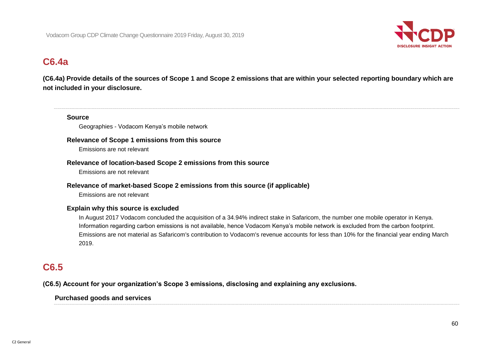

### **C6.4a**

**(C6.4a) Provide details of the sources of Scope 1 and Scope 2 emissions that are within your selected reporting boundary which are not included in your disclosure.**

#### **Source**

Geographies - Vodacom Kenya's mobile network

#### **Relevance of Scope 1 emissions from this source**

Emissions are not relevant

#### **Relevance of location-based Scope 2 emissions from this source**

Emissions are not relevant

#### **Relevance of market-based Scope 2 emissions from this source (if applicable)**

Emissions are not relevant

#### **Explain why this source is excluded**

In August 2017 Vodacom concluded the acquisition of a 34.94% indirect stake in Safaricom, the number one mobile operator in Kenya. Information regarding carbon emissions is not available, hence Vodacom Kenya's mobile network is excluded from the carbon footprint. Emissions are not material as Safaricom's contribution to Vodacom's revenue accounts for less than 10% for the financial year ending March 2019.

### **C6.5**

**(C6.5) Account for your organization's Scope 3 emissions, disclosing and explaining any exclusions.**

#### **Purchased goods and services**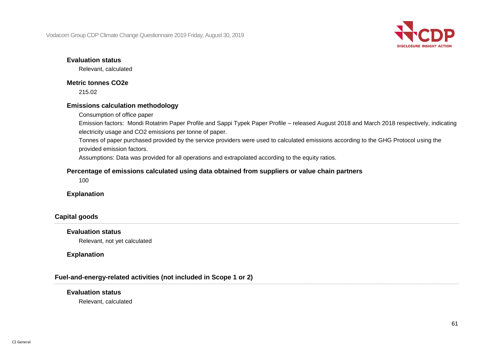

#### **Evaluation status**

Relevant, calculated

#### **Metric tonnes CO2e**

215.02

#### **Emissions calculation methodology**

Consumption of office paper

Emission factors: Mondi Rotatrim Paper Profile and Sappi Typek Paper Profile – released August 2018 and March 2018 respectively, indicating electricity usage and CO2 emissions per tonne of paper.

Tonnes of paper purchased provided by the service providers were used to calculated emissions according to the GHG Protocol using the provided emission factors.

Assumptions: Data was provided for all operations and extrapolated according to the equity ratios.

#### **Percentage of emissions calculated using data obtained from suppliers or value chain partners**

100

#### **Explanation**

#### **Capital goods**

#### **Evaluation status**

Relevant, not yet calculated

#### **Explanation**

#### **Fuel-and-energy-related activities (not included in Scope 1 or 2)**

#### **Evaluation status**

Relevant, calculated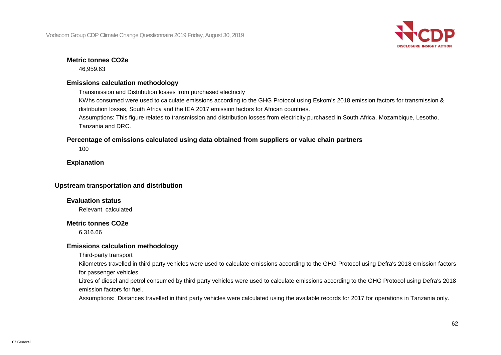

#### **Metric tonnes CO2e**

46,959.63

#### **Emissions calculation methodology**

Transmission and Distribution losses from purchased electricity

KWhs consumed were used to calculate emissions according to the GHG Protocol using Eskom's 2018 emission factors for transmission & distribution losses, South Africa and the IEA 2017 emission factors for African countries.

Assumptions: This figure relates to transmission and distribution losses from electricity purchased in South Africa, Mozambique, Lesotho, Tanzania and DRC.

#### **Percentage of emissions calculated using data obtained from suppliers or value chain partners**

100

#### **Explanation**

#### **Upstream transportation and distribution**

#### **Evaluation status**

Relevant, calculated

#### **Metric tonnes CO2e**

6,316.66

#### **Emissions calculation methodology**

Third-party transport

Kilometres travelled in third party vehicles were used to calculate emissions according to the GHG Protocol using Defra's 2018 emission factors for passenger vehicles.

Litres of diesel and petrol consumed by third party vehicles were used to calculate emissions according to the GHG Protocol using Defra's 2018 emission factors for fuel.

Assumptions: Distances travelled in third party vehicles were calculated using the available records for 2017 for operations in Tanzania only.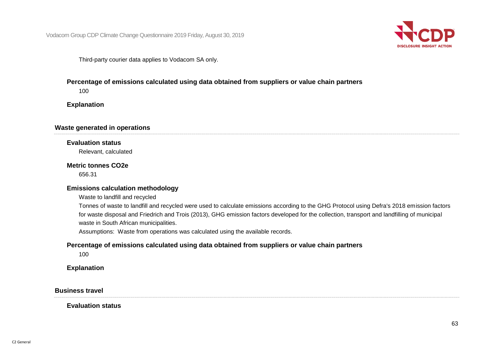

Third-party courier data applies to Vodacom SA only.

#### **Percentage of emissions calculated using data obtained from suppliers or value chain partners**

100

**Explanation**

#### **Waste generated in operations**

#### **Evaluation status**

Relevant, calculated

#### **Metric tonnes CO2e**

656.31

#### **Emissions calculation methodology**

Waste to landfill and recycled

Tonnes of waste to landfill and recycled were used to calculate emissions according to the GHG Protocol using Defra's 2018 emission factors for waste disposal and Friedrich and Trois (2013), GHG emission factors developed for the collection, transport and landfilling of municipal waste in South African municipalities.

Assumptions: Waste from operations was calculated using the available records.

#### **Percentage of emissions calculated using data obtained from suppliers or value chain partners**

100

**Explanation**

**Business travel**

**Evaluation status**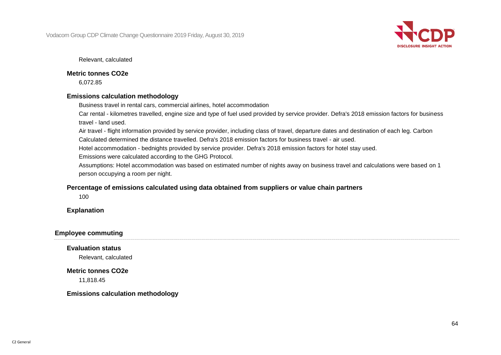

Relevant, calculated

#### **Metric tonnes CO2e**

6,072.85

#### **Emissions calculation methodology**

Business travel in rental cars, commercial airlines, hotel accommodation

Car rental - kilometres travelled, engine size and type of fuel used provided by service provider. Defra's 2018 emission factors for business travel - land used.

Air travel - flight information provided by service provider, including class of travel, departure dates and destination of each leg. Carbon Calculated determined the distance travelled. Defra's 2018 emission factors for business travel - air used.

Hotel accommodation - bednights provided by service provider. Defra's 2018 emission factors for hotel stay used.

Emissions were calculated according to the GHG Protocol.

Assumptions: Hotel accommodation was based on estimated number of nights away on business travel and calculations were based on 1 person occupying a room per night.

#### **Percentage of emissions calculated using data obtained from suppliers or value chain partners**

100

#### **Explanation**

#### **Employee commuting**

**Evaluation status**

Relevant, calculated

#### **Metric tonnes CO2e**

11,818.45

#### **Emissions calculation methodology**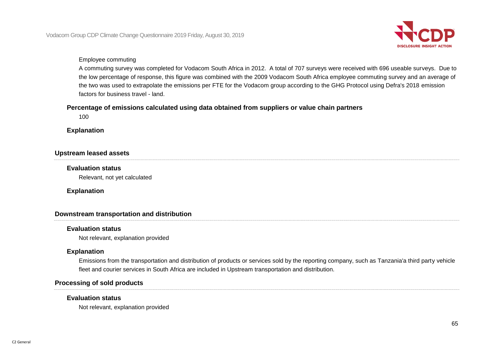

#### Employee commuting

A commuting survey was completed for Vodacom South Africa in 2012. A total of 707 surveys were received with 696 useable surveys. Due to the low percentage of response, this figure was combined with the 2009 Vodacom South Africa employee commuting survey and an average of the two was used to extrapolate the emissions per FTE for the Vodacom group according to the GHG Protocol using Defra's 2018 emission factors for business travel - land.

#### **Percentage of emissions calculated using data obtained from suppliers or value chain partners**

100

**Explanation**

#### **Upstream leased assets**

#### **Evaluation status**

Relevant, not yet calculated

#### **Explanation**

#### **Downstream transportation and distribution**

#### **Evaluation status**

Not relevant, explanation provided

#### **Explanation**

Emissions from the transportation and distribution of products or services sold by the reporting company, such as Tanzania'a third party vehicle fleet and courier services in South Africa are included in Upstream transportation and distribution.

#### **Processing of sold products**

#### **Evaluation status**

Not relevant, explanation provided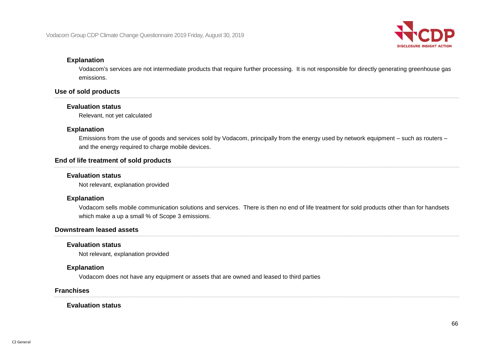

#### **Explanation**

Vodacom's services are not intermediate products that require further processing. It is not responsible for directly generating greenhouse gas emissions.

#### **Use of sold products**

#### **Evaluation status**

Relevant, not yet calculated

#### **Explanation**

Emissions from the use of goods and services sold by Vodacom, principally from the energy used by network equipment – such as routers – and the energy required to charge mobile devices.

#### **End of life treatment of sold products**

#### **Evaluation status**

Not relevant, explanation provided

#### **Explanation**

Vodacom sells mobile communication solutions and services. There is then no end of life treatment for sold products other than for handsets which make a up a small % of Scope 3 emissions.

#### **Downstream leased assets**

#### **Evaluation status**

Not relevant, explanation provided

#### **Explanation**

Vodacom does not have any equipment or assets that are owned and leased to third parties

#### **Franchises**

#### **Evaluation status**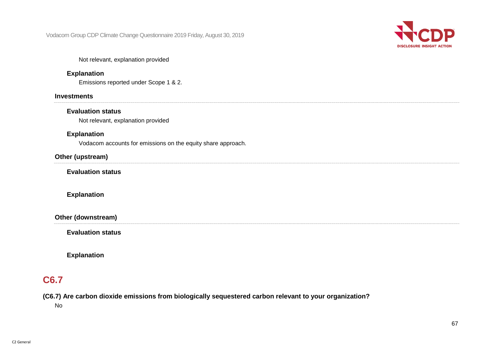

#### Not relevant, explanation provided

#### **Explanation**

Emissions reported under Scope 1 & 2.

#### **Investments**

#### **Evaluation status**

Not relevant, explanation provided

#### **Explanation**

Vodacom accounts for emissions on the equity share approach.

#### **Other (upstream)**

**Evaluation status**

#### **Explanation**

**Other (downstream)**

**Evaluation status**

**Explanation**

### **C6.7**

**(C6.7) Are carbon dioxide emissions from biologically sequestered carbon relevant to your organization?**

No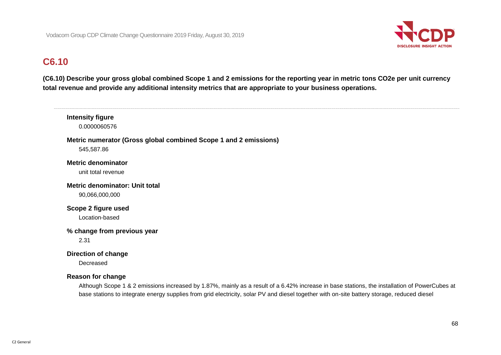

# **C6.10**

**(C6.10) Describe your gross global combined Scope 1 and 2 emissions for the reporting year in metric tons CO2e per unit currency total revenue and provide any additional intensity metrics that are appropriate to your business operations.**

**Intensity figure** 0.0000060576 **Metric numerator (Gross global combined Scope 1 and 2 emissions)** 545,587.86 **Metric denominator** unit total revenue **Metric denominator: Unit total** 90,066,000,000 **Scope 2 figure used** Location-based **% change from previous year** 2.31 **Direction of change Decreased Reason for change** Although Scope 1 & 2 emissions increased by 1.87%, mainly as a result of a 6.42% increase in base stations, the installation of PowerCubes at

base stations to integrate energy supplies from grid electricity, solar PV and diesel together with on-site battery storage, reduced diesel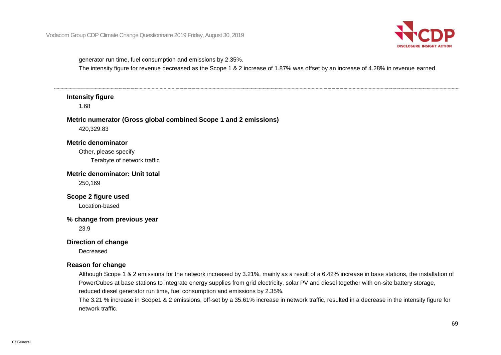

generator run time, fuel consumption and emissions by 2.35%.

The intensity figure for revenue decreased as the Scope 1 & 2 increase of 1.87% was offset by an increase of 4.28% in revenue earned.

#### **Intensity figure**

1.68

#### **Metric numerator (Gross global combined Scope 1 and 2 emissions)**

420,329.83

#### **Metric denominator**

Other, please specify Terabyte of network traffic

**Metric denominator: Unit total**

250,169

### **Scope 2 figure used**

Location-based

#### **% change from previous year**

23.9

#### **Direction of change**

Decreased

#### **Reason for change**

Although Scope 1 & 2 emissions for the network increased by 3.21%, mainly as a result of a 6.42% increase in base stations, the installation of PowerCubes at base stations to integrate energy supplies from grid electricity, solar PV and diesel together with on-site battery storage, reduced diesel generator run time, fuel consumption and emissions by 2.35%.

The 3.21 % increase in Scope1 & 2 emissions, off-set by a 35.61% increase in network traffic, resulted in a decrease in the intensity figure for network traffic.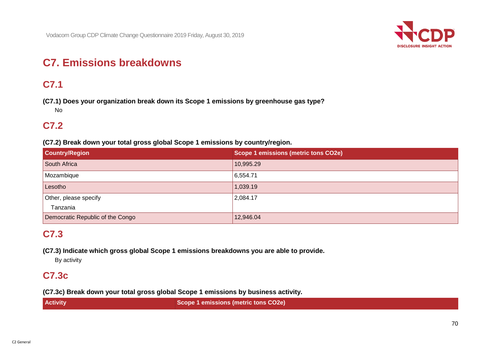

# **C7. Emissions breakdowns**

# **C7.1**

**(C7.1) Does your organization break down its Scope 1 emissions by greenhouse gas type?** No

### **C7.2**

**(C7.2) Break down your total gross global Scope 1 emissions by country/region.**

| <b>Country/Region</b>            | Scope 1 emissions (metric tons CO2e) |
|----------------------------------|--------------------------------------|
| South Africa                     | 10,995.29                            |
| Mozambique                       | 6,554.71                             |
| Lesotho                          | 1,039.19                             |
| Other, please specify            | 2,084.17                             |
| Tanzania                         |                                      |
| Democratic Republic of the Congo | 12,946.04                            |

### **C7.3**

**(C7.3) Indicate which gross global Scope 1 emissions breakdowns you are able to provide.**

By activity

### **C7.3c**

**(C7.3c) Break down your total gross global Scope 1 emissions by business activity.**

| <b>Activity</b> | Scope 1 emissions (metric tons CO2e) |
|-----------------|--------------------------------------|
|-----------------|--------------------------------------|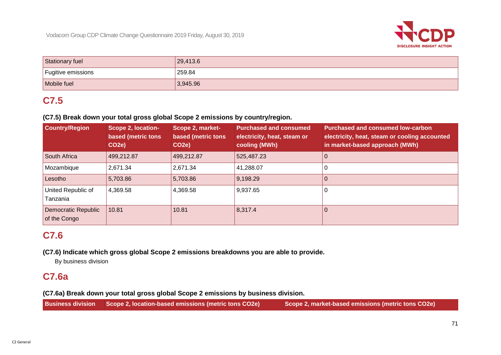

| Stationary fuel    | 29,413.6 |
|--------------------|----------|
| Fugitive emissions | 259.84   |
| Mobile fuel        | 3,945.96 |

# **C7.5**

#### **(C7.5) Break down your total gross global Scope 2 emissions by country/region.**

| <b>Country/Region</b>               | Scope 2, location-<br><b>based (metric tons</b><br>CO <sub>2</sub> e) | Scope 2, market-<br>based (metric tons<br>CO <sub>2e</sub> ) | <b>Purchased and consumed</b><br>electricity, heat, steam or<br>cooling (MWh) | <b>Purchased and consumed low-carbon</b><br>electricity, heat, steam or cooling accounted<br>in market-based approach (MWh) |
|-------------------------------------|-----------------------------------------------------------------------|--------------------------------------------------------------|-------------------------------------------------------------------------------|-----------------------------------------------------------------------------------------------------------------------------|
| South Africa                        | 499,212.87                                                            | 499,212.87                                                   | 525,487.23                                                                    |                                                                                                                             |
| Mozambique                          | 2,671.34                                                              | 2,671.34                                                     | 41,288.07                                                                     |                                                                                                                             |
| Lesotho                             | 5,703.86                                                              | 5,703.86                                                     | 9,198.29                                                                      |                                                                                                                             |
| United Republic of<br>Tanzania      | 4,369.58                                                              | 4,369.58                                                     | 9,937.65                                                                      |                                                                                                                             |
| Democratic Republic<br>of the Congo | 10.81                                                                 | 10.81                                                        | 8,317.4                                                                       | U                                                                                                                           |

### **C7.6**

**(C7.6) Indicate which gross global Scope 2 emissions breakdowns you are able to provide.**

By business division

### **C7.6a**

**(C7.6a) Break down your total gross global Scope 2 emissions by business division.**

|  | <b>Business division Scope 2, location-based emissions (metric tons CO2e)</b> | Scope 2, market-based emissions (metric tons CO2e) |
|--|-------------------------------------------------------------------------------|----------------------------------------------------|
|--|-------------------------------------------------------------------------------|----------------------------------------------------|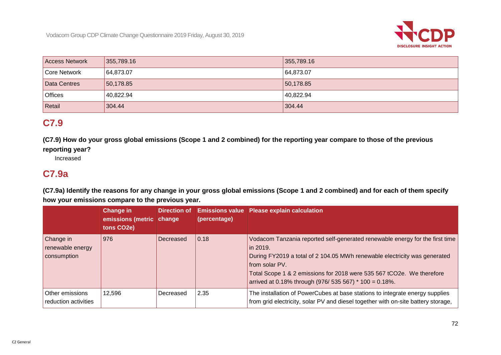

| <b>Access Network</b> | 355,789.16 | 355,789.16 |
|-----------------------|------------|------------|
| Core Network          | 64,873.07  | 64,873.07  |
| Data Centres          | 150,178.85 | 150,178.85 |
| <b>Offices</b>        | 40,822.94  | 40,822.94  |
| Retail                | 304.44     | 304.44     |

### **C7.9**

**(C7.9) How do your gross global emissions (Scope 1 and 2 combined) for the reporting year compare to those of the previous reporting year?**

### Increased

### **C7.9a**

**(C7.9a) Identify the reasons for any change in your gross global emissions (Scope 1 and 2 combined) and for each of them specify how your emissions compare to the previous year.**

|                                              | <b>Change in</b><br>emissions (metric change<br>tons CO <sub>2</sub> e) | Direction of | (percentage) | <b>Emissions value Please explain calculation</b>                                                                                                                                                                                                                                                                          |
|----------------------------------------------|-------------------------------------------------------------------------|--------------|--------------|----------------------------------------------------------------------------------------------------------------------------------------------------------------------------------------------------------------------------------------------------------------------------------------------------------------------------|
| Change in<br>renewable energy<br>consumption | 976                                                                     | Decreased    | 0.18         | Vodacom Tanzania reported self-generated renewable energy for the first time<br>in 2019.<br>During FY2019 a total of 2 104.05 MWh renewable electricity was generated<br>from solar PV.<br>Total Scope 1 & 2 emissions for 2018 were 535 567 tCO2e. We therefore<br>arrived at 0.18% through (976/ 535 567) * 100 = 0.18%. |
| Other emissions<br>reduction activities      | 12,596                                                                  | Decreased    | 2.35         | The installation of PowerCubes at base stations to integrate energy supplies<br>from grid electricity, solar PV and diesel together with on-site battery storage,                                                                                                                                                          |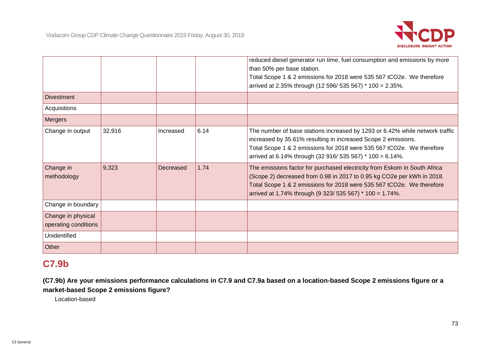

|                                            |        |           |      | reduced diesel generator run time, fuel consumption and emissions by more<br>than 50% per base station.                                                                                                                                                                                  |
|--------------------------------------------|--------|-----------|------|------------------------------------------------------------------------------------------------------------------------------------------------------------------------------------------------------------------------------------------------------------------------------------------|
|                                            |        |           |      | Total Scope 1 & 2 emissions for 2018 were 535 567 tCO2e. We therefore                                                                                                                                                                                                                    |
|                                            |        |           |      | arrived at 2.35% through (12 596/ 535 567) * 100 = 2.35%.                                                                                                                                                                                                                                |
| <b>Divestment</b>                          |        |           |      |                                                                                                                                                                                                                                                                                          |
| Acquisitions                               |        |           |      |                                                                                                                                                                                                                                                                                          |
| <b>Mergers</b>                             |        |           |      |                                                                                                                                                                                                                                                                                          |
| Change in output                           | 32,916 | Increased | 6.14 | The number of base stations increased by 1293 or 6.42% while network traffic<br>increased by 35.61% resulting in increased Scope 2 emissions.<br>Total Scope 1 & 2 emissions for 2018 were 535 567 tCO2e. We therefore<br>arrived at 6.14% through (32 916/ 535 567) * 100 = 6.14%.      |
| Change in<br>methodology                   | 9,323  | Decreased | 1.74 | The emissions factor for purchased electricity from Eskom in South Africa<br>(Scope 2) decreased from 0.98 in 2017 to 0.95 kg CO2e per kWh in 2018.<br>Total Scope 1 & 2 emissions for 2018 were 535 567 tCO2e. We therefore<br>arrived at 1.74% through (9 323/ 535 567) * 100 = 1.74%. |
| Change in boundary                         |        |           |      |                                                                                                                                                                                                                                                                                          |
| Change in physical<br>operating conditions |        |           |      |                                                                                                                                                                                                                                                                                          |
| Unidentified                               |        |           |      |                                                                                                                                                                                                                                                                                          |
| Other                                      |        |           |      |                                                                                                                                                                                                                                                                                          |

### **C7.9b**

**(C7.9b) Are your emissions performance calculations in C7.9 and C7.9a based on a location-based Scope 2 emissions figure or a market-based Scope 2 emissions figure?**

Location-based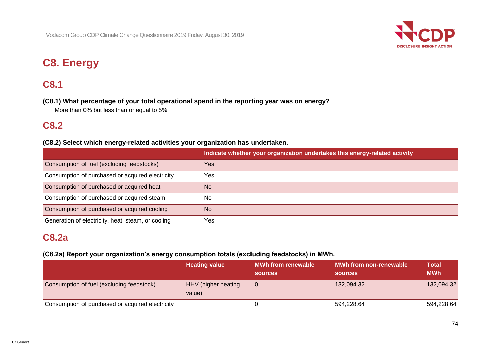

# **C8. Energy**

## **C8.1**

**(C8.1) What percentage of your total operational spend in the reporting year was on energy?**

More than 0% but less than or equal to 5%

### **C8.2**

### **(C8.2) Select which energy-related activities your organization has undertaken.**

|                                                    | Indicate whether your organization undertakes this energy-related activity |
|----------------------------------------------------|----------------------------------------------------------------------------|
| Consumption of fuel (excluding feedstocks)         | <b>Yes</b>                                                                 |
| Consumption of purchased or acquired electricity   | <b>Yes</b>                                                                 |
| Consumption of purchased or acquired heat          | No.                                                                        |
| Consumption of purchased or acquired steam         | No.                                                                        |
| Consumption of purchased or acquired cooling       | <b>No</b>                                                                  |
| Generation of electricity, heat, steam, or cooling | <b>Yes</b>                                                                 |

### **C8.2a**

### **(C8.2a) Report your organization's energy consumption totals (excluding feedstocks) in MWh.**

|                                                  | <b>Heating value</b>                 | <b>MWh from renewable</b><br><b>sources</b> | MWh from non-renewable<br><b>sources</b> | <b>Total</b><br><b>MWh</b> |
|--------------------------------------------------|--------------------------------------|---------------------------------------------|------------------------------------------|----------------------------|
| Consumption of fuel (excluding feedstock)        | <b>HHV</b> (higher heating<br>value) |                                             | 132,094.32                               | 132,094.32                 |
| Consumption of purchased or acquired electricity |                                      |                                             | 594,228.64                               | 594,228.64                 |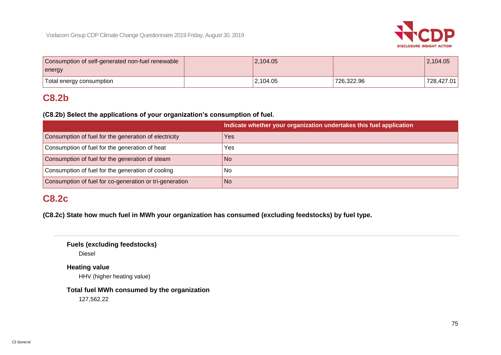

| Consumption of self-generated non-fuel renewable | 12,104.05 |            | 2,104.05   |
|--------------------------------------------------|-----------|------------|------------|
| energy                                           |           |            |            |
| Total energy consumption                         | 2,104.05  | 726,322.96 | 728,427.01 |

## **C8.2b**

**(C8.2b) Select the applications of your organization's consumption of fuel.**

|                                                         | Indicate whether your organization undertakes this fuel application |
|---------------------------------------------------------|---------------------------------------------------------------------|
| Consumption of fuel for the generation of electricity   | Yes                                                                 |
| Consumption of fuel for the generation of heat          | Yes                                                                 |
| Consumption of fuel for the generation of steam         | N <sub>o</sub>                                                      |
| Consumption of fuel for the generation of cooling       | No                                                                  |
| Consumption of fuel for co-generation or tri-generation | No.                                                                 |

## **C8.2c**

**(C8.2c) State how much fuel in MWh your organization has consumed (excluding feedstocks) by fuel type.**

**Fuels (excluding feedstocks)**

Diesel

**Heating value**

HHV (higher heating value)

**Total fuel MWh consumed by the organization**

127,562.22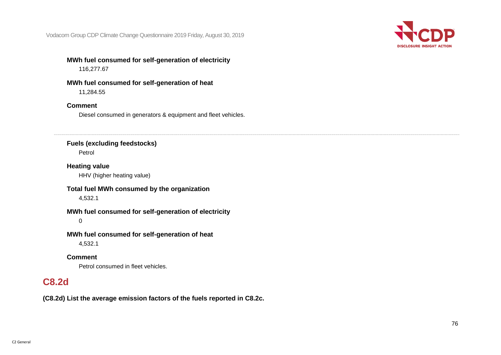

### **MWh fuel consumed for self-generation of electricity**

116,277.67

### **MWh fuel consumed for self-generation of heat**

11,284.55

### **Comment**

Diesel consumed in generators & equipment and fleet vehicles.

### **Fuels (excluding feedstocks)**

Petrol

## **Heating value**

HHV (higher heating value)

### **Total fuel MWh consumed by the organization** 4,532.1

### **MWh fuel consumed for self-generation of electricity**

 $\Omega$ 

### **MWh fuel consumed for self-generation of heat**

4,532.1

### **Comment**

Petrol consumed in fleet vehicles.

## **C8.2d**

**(C8.2d) List the average emission factors of the fuels reported in C8.2c.**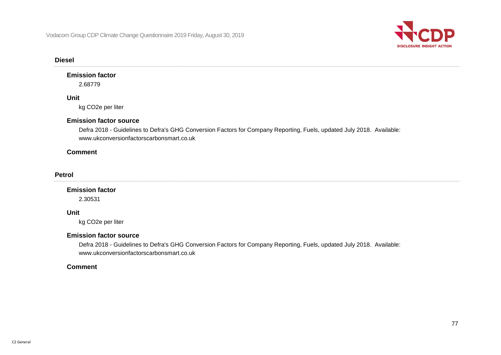

#### **Diesel**

### **Emission factor**

2.68779

### **Unit**

kg CO2e per liter

### **Emission factor source**

Defra 2018 - Guidelines to Defra's GHG Conversion Factors for Company Reporting, Fuels, updated July 2018. Available: www.ukconversionfactorscarbonsmart.co.uk

### **Comment**

#### **Petrol**

#### **Emission factor**

2.30531

### **Unit**

kg CO2e per liter

#### **Emission factor source**

Defra 2018 - Guidelines to Defra's GHG Conversion Factors for Company Reporting, Fuels, updated July 2018. Available: www.ukconversionfactorscarbonsmart.co.uk

### **Comment**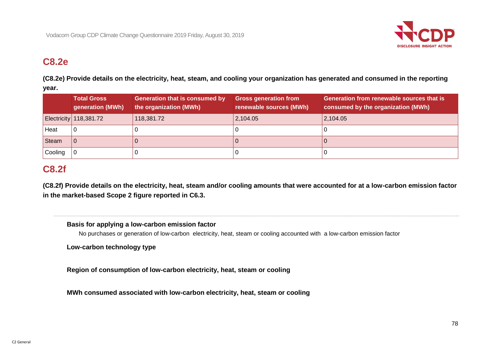

### **C8.2e**

**(C8.2e) Provide details on the electricity, heat, steam, and cooling your organization has generated and consumed in the reporting year.**

|              | <b>Total Gross</b><br>generation (MWh) | <b>Generation that is consumed by</b><br>the organization (MWh) | <b>Gross generation from</b><br>renewable sources (MWh) | <b>Generation from renewable sources that is</b><br>consumed by the organization (MWh) |
|--------------|----------------------------------------|-----------------------------------------------------------------|---------------------------------------------------------|----------------------------------------------------------------------------------------|
|              | Electricity 118,381.72                 | 118,381.72                                                      | 2,104.05                                                | 2,104.05                                                                               |
| Heat         |                                        |                                                                 |                                                         |                                                                                        |
| <b>Steam</b> |                                        |                                                                 |                                                         |                                                                                        |
| Cooling      |                                        |                                                                 |                                                         |                                                                                        |

### **C8.2f**

**(C8.2f) Provide details on the electricity, heat, steam and/or cooling amounts that were accounted for at a low-carbon emission factor in the market-based Scope 2 figure reported in C6.3.**

### **Basis for applying a low-carbon emission factor**

No purchases or generation of low-carbon electricity, heat, steam or cooling accounted with a low-carbon emission factor

**Low-carbon technology type**

**Region of consumption of low-carbon electricity, heat, steam or cooling**

**MWh consumed associated with low-carbon electricity, heat, steam or cooling**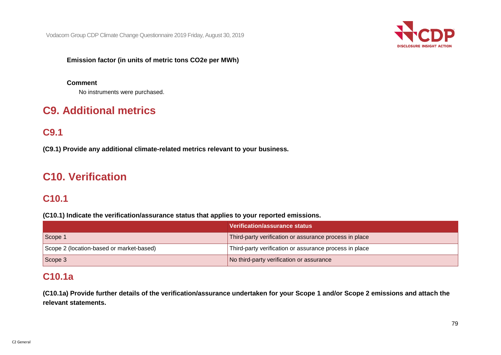

**Emission factor (in units of metric tons CO2e per MWh)**

### **Comment**

No instruments were purchased.

## **C9. Additional metrics**

### **C9.1**

**(C9.1) Provide any additional climate-related metrics relevant to your business.**

## **C10. Verification**

### **C10.1**

**(C10.1) Indicate the verification/assurance status that applies to your reported emissions.**

|                                          | Verification/assurance status                          |
|------------------------------------------|--------------------------------------------------------|
| Scope 1                                  | Third-party verification or assurance process in place |
| Scope 2 (location-based or market-based) | Third-party verification or assurance process in place |
| Scope 3                                  | No third-party verification or assurance               |

### **C10.1a**

**(C10.1a) Provide further details of the verification/assurance undertaken for your Scope 1 and/or Scope 2 emissions and attach the relevant statements.**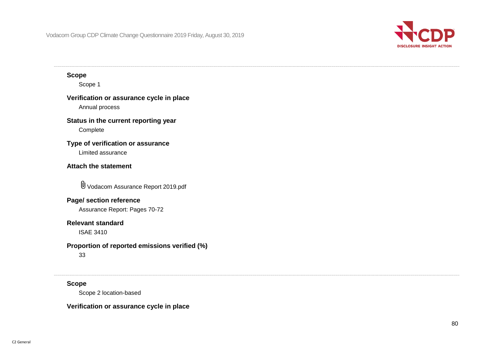

### **Scope**

Scope 1

## **Verification or assurance cycle in place**

Annual process

### **Status in the current reporting year**

Complete

### **Type of verification or assurance**

Limited assurance

### **Attach the statement**

Vodacom Assurance Report 2019.pdf

### **Page/ section reference**

Assurance Report: Pages 70-72

### **Relevant standard**

ISAE 3410

### **Proportion of reported emissions verified (%)**

33

### **Scope**

Scope 2 location-based

### **Verification or assurance cycle in place**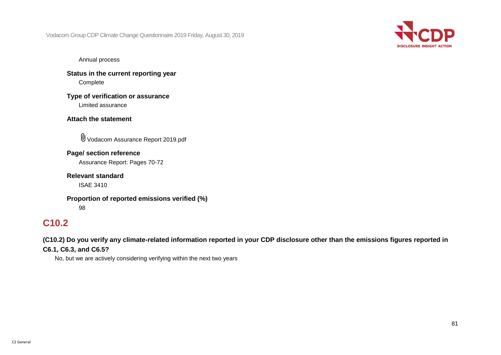

Annual process

**Status in the current reporting year** Complete

**Type of verification or assurance** Limited assurance

### **Attach the statement**

Vodacom Assurance Report 2019.pdf

**Page/ section reference** Assurance Report: Pages 70-72

**Relevant standard**

ISAE 3410

**Proportion of reported emissions verified (%)** 98

## **C10.2**

**(C10.2) Do you verify any climate-related information reported in your CDP disclosure other than the emissions figures reported in C6.1, C6.3, and C6.5?**

No, but we are actively considering verifying within the next two years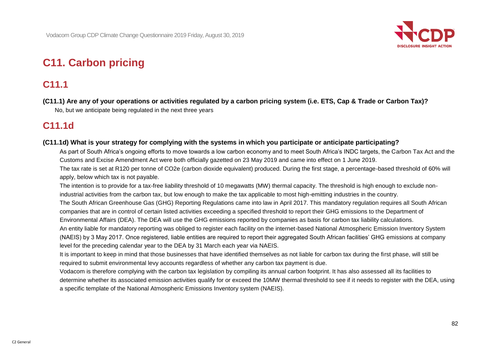

# **C11. Carbon pricing**

## **C11.1**

**(C11.1) Are any of your operations or activities regulated by a carbon pricing system (i.e. ETS, Cap & Trade or Carbon Tax)?** No, but we anticipate being regulated in the next three years

## **C11.1d**

### **(C11.1d) What is your strategy for complying with the systems in which you participate or anticipate participating?**

As part of South Africa's ongoing efforts to move towards a low carbon economy and to meet South Africa's INDC targets, the Carbon Tax Act and the Customs and Excise Amendment Act were both officially gazetted on 23 May 2019 and came into effect on 1 June 2019.

The tax rate is set at R120 per tonne of CO2e (carbon dioxide equivalent) produced. During the first stage, a percentage-based threshold of 60% will apply, below which tax is not payable.

The intention is to provide for a tax-free liability threshold of 10 megawatts (MW) thermal capacity. The threshold is high enough to exclude nonindustrial activities from the carbon tax, but low enough to make the tax applicable to most high-emitting industries in the country.

The South African Greenhouse Gas (GHG) Reporting Regulations came into law in April 2017. This mandatory regulation requires all South African companies that are in control of certain listed activities exceeding a specified threshold to report their GHG emissions to the Department of Environmental Affairs (DEA). The DEA will use the GHG emissions reported by companies as basis for carbon tax liability calculations.

An entity liable for mandatory reporting was obliged to register each facility on the internet-based National Atmospheric Emission Inventory System (NAEIS) by 3 May 2017. Once registered, liable entities are required to report their aggregated South African facilities' GHG emissions at company level for the preceding calendar year to the DEA by 31 March each year via NAEIS.

It is important to keep in mind that those businesses that have identified themselves as not liable for carbon tax during the first phase, will still be required to submit environmental levy accounts regardless of whether any carbon tax payment is due.

Vodacom is therefore complying with the carbon tax legislation by compiling its annual carbon footprint. It has also assessed all its facilities to determine whether its associated emission activities qualify for or exceed the 10MW thermal threshold to see if it needs to register with the DEA, using a specific template of the National Atmospheric Emissions Inventory system (NAEIS).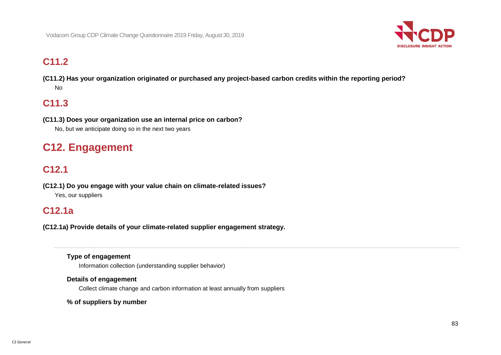

## **C11.2**

**(C11.2) Has your organization originated or purchased any project-based carbon credits within the reporting period?** No

## **C11.3**

**(C11.3) Does your organization use an internal price on carbon?** No, but we anticipate doing so in the next two years

# **C12. Engagement**

## **C12.1**

**(C12.1) Do you engage with your value chain on climate-related issues?** Yes, our suppliers

### **C12.1a**

**(C12.1a) Provide details of your climate-related supplier engagement strategy.**

### **Type of engagement**

Information collection (understanding supplier behavior)

### **Details of engagement**

Collect climate change and carbon information at least annually from suppliers

### **% of suppliers by number**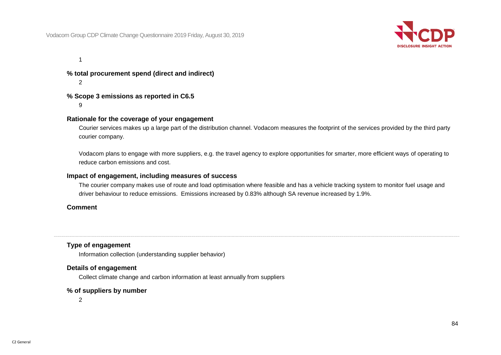

1

**% total procurement spend (direct and indirect)**  $\mathfrak{D}$ 

### **% Scope 3 emissions as reported in C6.5**

9

#### **Rationale for the coverage of your engagement**

Courier services makes up a large part of the distribution channel. Vodacom measures the footprint of the services provided by the third party courier company.

Vodacom plans to engage with more suppliers, e.g. the travel agency to explore opportunities for smarter, more efficient ways of operating to reduce carbon emissions and cost.

#### **Impact of engagement, including measures of success**

The courier company makes use of route and load optimisation where feasible and has a vehicle tracking system to monitor fuel usage and driver behaviour to reduce emissions. Emissions increased by 0.83% although SA revenue increased by 1.9%.

#### **Comment**

### **Type of engagement**

Information collection (understanding supplier behavior)

### **Details of engagement**

Collect climate change and carbon information at least annually from suppliers

#### **% of suppliers by number**

2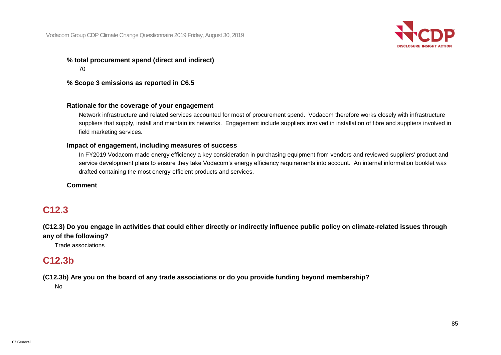

**% total procurement spend (direct and indirect)** 70

**% Scope 3 emissions as reported in C6.5**

### **Rationale for the coverage of your engagement**

Network infrastructure and related services accounted for most of procurement spend. Vodacom therefore works closely with infrastructure suppliers that supply, install and maintain its networks. Engagement include suppliers involved in installation of fibre and suppliers involved in field marketing services.

#### **Impact of engagement, including measures of success**

In FY2019 Vodacom made energy efficiency a key consideration in purchasing equipment from vendors and reviewed suppliers' product and service development plans to ensure they take Vodacom's energy efficiency requirements into account. An internal information booklet was drafted containing the most energy-efficient products and services.

#### **Comment**

### **C12.3**

**(C12.3) Do you engage in activities that could either directly or indirectly influence public policy on climate-related issues through any of the following?**

Trade associations

### **C12.3b**

### **(C12.3b) Are you on the board of any trade associations or do you provide funding beyond membership?**

No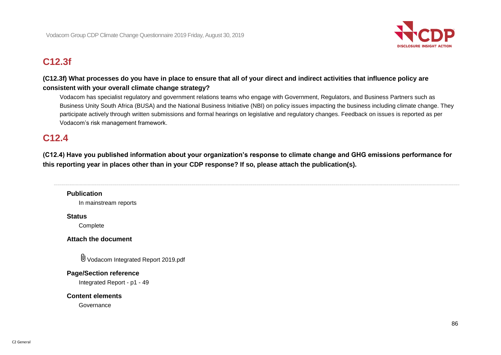

## **C12.3f**

### **(C12.3f) What processes do you have in place to ensure that all of your direct and indirect activities that influence policy are consistent with your overall climate change strategy?**

Vodacom has specialist regulatory and government relations teams who engage with Government, Regulators, and Business Partners such as Business Unity South Africa (BUSA) and the National Business Initiative (NBI) on policy issues impacting the business including climate change. They participate actively through written submissions and formal hearings on legislative and regulatory changes. Feedback on issues is reported as per Vodacom's risk management framework.

## **C12.4**

**(C12.4) Have you published information about your organization's response to climate change and GHG emissions performance for this reporting year in places other than in your CDP response? If so, please attach the publication(s).**

### **Publication**

In mainstream reports

#### **Status**

**Complete** 

### **Attach the document**

Vodacom Integrated Report 2019.pdf

### **Page/Section reference**

Integrated Report - p1 - 49

### **Content elements**

**Governance**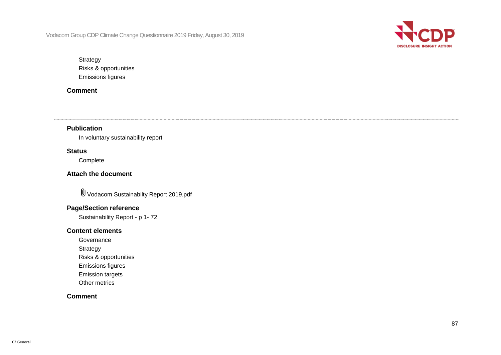

**Strategy** Risks & opportunities Emissions figures

### **Comment**

**Publication**

In voluntary sustainability report

### **Status**

Complete

**Attach the document**

Vodacom Sustainabilty Report 2019.pdf

### **Page/Section reference**

Sustainability Report - p 1- 72

### **Content elements**

- **Governance**
- **Strategy**
- Risks & opportunities
- Emissions figures
- Emission targets
- Other metrics

### **Comment**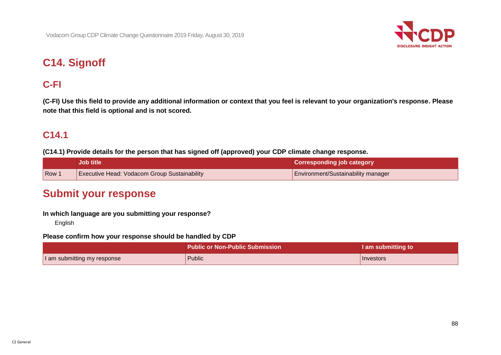

# **C14. Signoff**

## **C-FI**

**(C-FI) Use this field to provide any additional information or context that you feel is relevant to your organization's response. Please note that this field is optional and is not scored.**

## **C14.1**

**(C14.1) Provide details for the person that has signed off (approved) your CDP climate change response.**

|     | <b>Job title</b>                             | <b>Corresponding job category</b>  |
|-----|----------------------------------------------|------------------------------------|
| Row | Executive Head: Vodacom Group Sustainability | Environment/Sustainability manager |

## **Submit your response**

### **In which language are you submitting your response?**

English

### **Please confirm how your response should be handled by CDP**

|                             | . Public or Non-Public Submission $^{\mathsf{\scriptscriptstyle I}}$ | I am submitting to |
|-----------------------------|----------------------------------------------------------------------|--------------------|
| I am submitting my response | Public                                                               | <b>Investors</b>   |